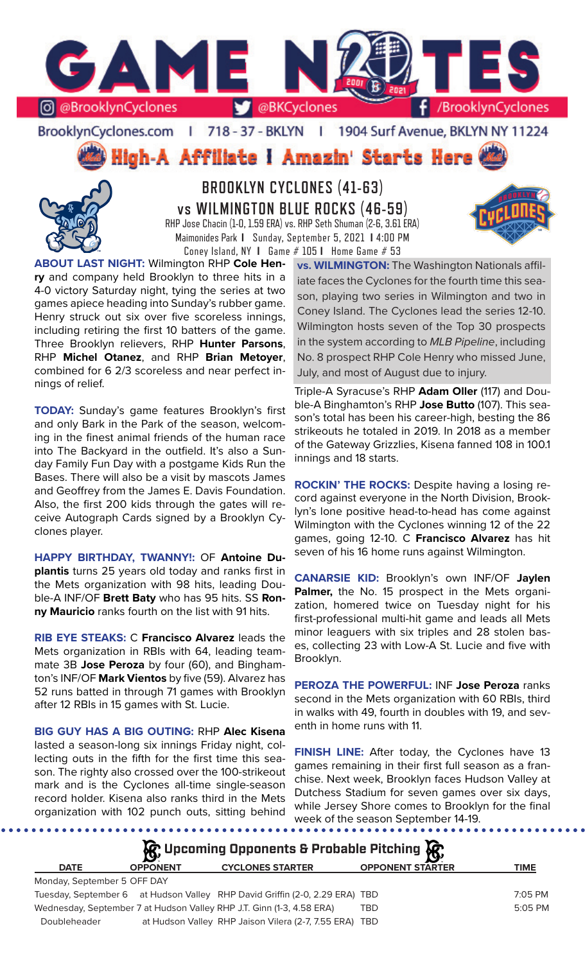

BrooklynCyclones.com | 718 - 37 - BKLYN | 1904 Surf Avenue, BKLYN NY 11224

High-A Affiliate I Amazin' Starts Here



**BROOKLYN CYCLONES (41-63) vs WILMINGTON BLUE ROCKS (46-59)** RHP Jose Chacin (1-0, 1.59 ERA) vs. RHP Seth Shuman (2-6, 3.61 ERA) Maimonides Park **I** Sunday, September 5, 2021 **I** 4:00 PM Coney Island, NY **I** Game # 105 **I** Home Game # 53



**ABOUT LAST NIGHT:** Wilmington RHP **Cole Henry** and company held Brooklyn to three hits in a 4-0 victory Saturday night, tying the series at two games apiece heading into Sunday's rubber game. Henry struck out six over five scoreless innings, including retiring the first 10 batters of the game. Three Brooklyn relievers, RHP **Hunter Parsons**, RHP **Michel Otanez**, and RHP **Brian Metoyer**, combined for 6 2/3 scoreless and near perfect innings of relief.

**TODAY:** Sunday's game features Brooklyn's first and only Bark in the Park of the season, welcoming in the finest animal friends of the human race into The Backyard in the outfield. It's also a Sunday Family Fun Day with a postgame Kids Run the Bases. There will also be a visit by mascots James and Geoffrey from the James E. Davis Foundation. Also, the first 200 kids through the gates will receive Autograph Cards signed by a Brooklyn Cyclones player.

**HAPPY BIRTHDAY, TWANNY!:** OF **Antoine Duplantis** turns 25 years old today and ranks first in the Mets organization with 98 hits, leading Double-A INF/OF **Brett Baty** who has 95 hits. SS **Ronny Mauricio** ranks fourth on the list with 91 hits.

**RIB EYE STEAKS:** C **Francisco Alvarez** leads the Mets organization in RBIs with 64, leading teammate 3B **Jose Peroza** by four (60), and Binghamton's INF/OF **Mark Vientos** by five (59). Alvarez has 52 runs batted in through 71 games with Brooklyn after 12 RBIs in 15 games with St. Lucie.

**BIG GUY HAS A BIG OUTING:** RHP **Alec Kisena** lasted a season-long six innings Friday night, collecting outs in the fifth for the first time this season. The righty also crossed over the 100-strikeout mark and is the Cyclones all-time single-season record holder. Kisena also ranks third in the Mets organization with 102 punch outs, sitting behind

Triple-A Syracuse's RHP **Adam Oller** (117) and Double-A Binghamton's RHP **Jose Butto** (107). This season's total has been his career-high, besting the 86 strikeouts he totaled in 2019. In 2018 as a member of the Gateway Grizzlies, Kisena fanned 108 in 100.1 innings and 18 starts.

July, and most of August due to injury.

**ROCKIN' THE ROCKS:** Despite having a losing record against everyone in the North Division, Brooklyn's lone positive head-to-head has come against Wilmington with the Cyclones winning 12 of the 22 games, going 12-10. C **Francisco Alvarez** has hit seven of his 16 home runs against Wilmington.

**CANARSIE KID:** Brooklyn's own INF/OF **Jaylen Palmer,** the No. 15 prospect in the Mets organization, homered twice on Tuesday night for his first-professional multi-hit game and leads all Mets minor leaguers with six triples and 28 stolen bases, collecting 23 with Low-A St. Lucie and five with Brooklyn.

**PEROZA THE POWERFUL:** INF **Jose Peroza** ranks second in the Mets organization with 60 RBIs, third in walks with 49, fourth in doubles with 19, and seventh in home runs with 11.

**FINISH LINE:** After today, the Cyclones have 13 games remaining in their first full season as a franchise. Next week, Brooklyn faces Hudson Valley at Dutchess Stadium for seven games over six days, while Jersey Shore comes to Brooklyn for the final week of the season September 14-19.

| $\mathcal{G}$ Upcoming Opponents & Probable Pitching $\mathcal{G}$ |                 |                                                                             |                         |           |  |  |  |  |  |  |
|--------------------------------------------------------------------|-----------------|-----------------------------------------------------------------------------|-------------------------|-----------|--|--|--|--|--|--|
| <b>DATE</b>                                                        | <b>OPPONENT</b> | <b>CYCLONES STARTER</b>                                                     | <b>OPPONENT STARTER</b> | TIME      |  |  |  |  |  |  |
| Monday, September 5 OFF DAY                                        |                 |                                                                             |                         |           |  |  |  |  |  |  |
|                                                                    |                 | Tuesday, September 6 at Hudson Valley RHP David Griffin (2-0, 2.29 ERA) TBD |                         | 7:05 PM   |  |  |  |  |  |  |
|                                                                    |                 | Wednesday, September 7 at Hudson Valley RHP J.T. Ginn (1-3, 4.58 ERA)       | TBD                     | $5:05$ PM |  |  |  |  |  |  |
| Doubleheader                                                       |                 | at Hudson Valley RHP Jaison Vilera (2-7, 7.55 ERA) TBD                      |                         |           |  |  |  |  |  |  |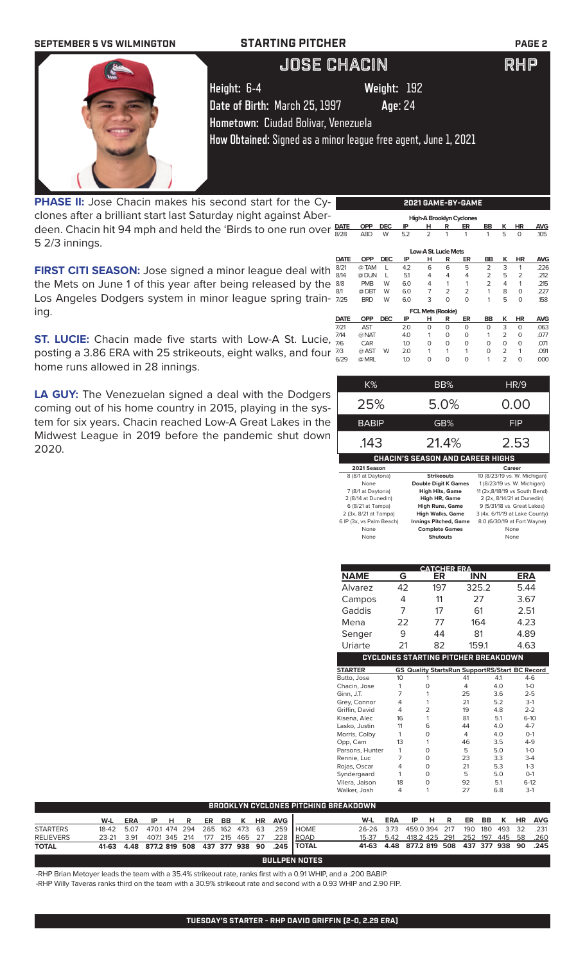| <b>SEPTEMBER 5 VS WILMINGTON</b> | <b>STARTING PITCHER</b>                                         |             | <b>PAGE 2</b> |
|----------------------------------|-----------------------------------------------------------------|-------------|---------------|
|                                  | <b>JOSE CHACIN</b>                                              |             | RHP           |
|                                  | Height: 6-4                                                     | Weight: 192 |               |
|                                  | Date of Birth: March 25, 1997                                   | Age: 24     |               |
|                                  | Hometown: Ciudad Bolivar, Venezuela                             |             |               |
|                                  | How Obtained: Signed as a minor league free agent, June 1, 2021 |             |               |
|                                  |                                                                 |             |               |
|                                  |                                                                 |             |               |
|                                  |                                                                 |             |               |

**PHASE II:** Jose Chacin makes his second start for the Cyclones after a brilliant start last Saturday night against Aberdeen. Chacin hit 94 mph and held the 'Birds to one run over  $\frac{DATE}{\sigma_{00}}$ 5 2/3 innings.

**FIRST CITI SEASON:** Jose signed a minor league deal with the Mets on June 1 of this year after being released by the Los Angeles Dodgers system in minor league spring training.

**ST. LUCIE:** Chacin made five starts with Low-A St. Lucie, posting a 3.86 ERA with 25 strikeouts, eight walks, and four home runs allowed in 28 innings.

**LA GUY:** The Venezuelan signed a deal with the Dodgers coming out of his home country in 2015, playing in the system for six years. Chacin reached Low-A Great Lakes in the Midwest League in 2019 before the pandemic shut down 2020.

| <b>OPP</b> | <b>DEC</b> | ΙP         | н              | R              | ER             | BB                                                     | ĸ              | ΗR             | <b>AVG</b> |
|------------|------------|------------|----------------|----------------|----------------|--------------------------------------------------------|----------------|----------------|------------|
| <b>ABD</b> | W          | 5.2        | $\overline{2}$ | 1              | 1              | 1                                                      | 5              | 0              | .105       |
|            |            |            |                |                |                |                                                        |                |                |            |
|            |            |            |                |                |                |                                                        |                |                | <b>AVG</b> |
| @ TAM      | L          | 4.2        | 6              | 6              | 5              | $\overline{2}$                                         | 3              | 1              | .226       |
| @ DUN      | L          | 5.1        | 4              | 4              | 4              | $\overline{2}$                                         | 5              | $\overline{2}$ | .212       |
| <b>PMB</b> | W          | 6.0        | 4              | 1              | 1              | $\overline{2}$                                         | 4              | 1              | .215       |
| @DBT       | W          | 6.0        | 7              | $\overline{2}$ | $\overline{2}$ | 1                                                      | 8              | $\Omega$       | .227       |
| <b>BRD</b> | W          | 6.0        | 3              | 0              | 0              | 1                                                      | 5              | $\Omega$       | .158       |
|            |            |            |                |                |                |                                                        |                |                |            |
| <b>OPP</b> | <b>DEC</b> | ΙP         | н              | R              | ER             | BB                                                     | ĸ              | ΗR             | <b>AVG</b> |
| <b>AST</b> |            | 2.0        | O              | $\Omega$       | O              | 0                                                      | 3              | $\Omega$       | .063       |
| @ NAT      |            | 4.0        |                | $\Omega$       | O              | 1                                                      | $\overline{2}$ | $\Omega$       | .077       |
| CAR        |            | 1.0        | O              | $\Omega$       | O              | 0                                                      | 0              | $\Omega$       | .071       |
| @ AST      | W          | 2.0        |                |                | 1              | 0                                                      | $\overline{2}$ | 1              | .091       |
| @ MRL      |            | 1.0        | $\Omega$       | 0              | 0              | 1                                                      | $\overline{2}$ | 0              | .000       |
|            | <b>OPP</b> | <b>DEC</b> | IP             | н              | R              | Low-A St. Lucie Mets<br>ER<br><b>FCL Mets (Rookie)</b> | BB             | κ              | ΗR         |

**2021 GAME-BY-GAME**

 **High-A Brooklyn Cyclones** 

| K%           | BB%                                     | HR/9       |
|--------------|-----------------------------------------|------------|
| 25%          | 5.0%                                    | 0.00       |
| <b>BABIP</b> | GB%                                     | <b>FIP</b> |
| .143         | 21.4%                                   | 2.53       |
|              | <b>CHACIN'S SEASON AND CAREER HIGHS</b> |            |
| 2021 Season  |                                         | Career     |

| 8 (8/1 at Daytona)       | <b>Strikeouts</b>            | 10 (8/23/19 vs. W. Michigan)   |
|--------------------------|------------------------------|--------------------------------|
| None                     | <b>Double Digit K Games</b>  | 1 (8/23/19 vs. W. Michigan)    |
| 7 (8/1 at Daytona)       | <b>High Hits, Game</b>       | 11 (2x,8/18/19 vs South Bend)  |
| 2 (8/14 at Dunedin)      | <b>High HR, Game</b>         | 2 (2x, 8/14/21 at Dunedin)     |
| 6 (8/21 at Tampa)        | <b>High Runs, Game</b>       | 9 (5/31/18 vs. Great Lakes)    |
| 2 (3x, 8/21 at Tampa)    | <b>High Walks, Game</b>      | 3 (4x, 6/11/19 at Lake County) |
| 6 IP (3x, vs Palm Beach) | <b>Innings Pitched, Game</b> | 8.0 (6/30/19 at Fort Wayne)    |
| None                     | <b>Complete Games</b>        | None                           |
| None                     | <b>Shutouts</b>              | None                           |
|                          |                              |                                |

|                          |                 | <b>CATCHER ERA</b>                         |                                                       |                |     |                       |            |       |            |            |
|--------------------------|-----------------|--------------------------------------------|-------------------------------------------------------|----------------|-----|-----------------------|------------|-------|------------|------------|
|                          | <b>NAME</b>     | G                                          |                                                       | ER             |     |                       | <b>INN</b> |       | <b>ERA</b> |            |
|                          | Alvarez         | 42                                         |                                                       | 197            |     |                       | 325.2      |       | 5.44       |            |
|                          | Campos          |                                            | 4                                                     |                | 11  |                       | 27         |       | 3.67       |            |
|                          | Gaddis          |                                            | 7                                                     | 17             |     | 61                    |            | 2.51  |            |            |
|                          | Mena            | 22                                         |                                                       | 77             |     |                       | 164        |       | 4.23       |            |
|                          | Senger          | 9                                          |                                                       | 44             |     |                       | 81         |       | 4.89       |            |
|                          | Uriarte         | 21                                         |                                                       | 82             |     |                       | 159.1      |       | 4.63       |            |
|                          |                 | <b>CYCLONES STARTING PITCHER BREAKDOWN</b> |                                                       |                |     |                       |            |       |            |            |
|                          | <b>STARTER</b>  |                                            | <b>GS Quality StartsRun SupportRS/Start BC Record</b> |                |     |                       |            |       |            |            |
|                          | Butto, Jose     | 10                                         |                                                       | 1              |     | 41                    |            | 4.1   | $4-6$      |            |
|                          | Chacin, Jose    | 1                                          |                                                       | $\mathbf 0$    |     | $\overline{4}$        |            | 4.0   | $1-0$      |            |
|                          | Ginn, J.T.      | $\overline{7}$                             |                                                       | 1              |     | 25                    |            | 3.6   | $2 - 5$    |            |
|                          | Grey, Connor    | 4                                          |                                                       | 1              |     | 21                    |            | 5.2   | $3-1$      |            |
|                          | Griffin, David  | 4                                          |                                                       | $\overline{2}$ |     | 19                    |            | 4.8   | $2 - 2$    |            |
|                          | Kisena, Alec    | 16                                         |                                                       | 1              | 81  |                       | 5.1        |       | $6-10$     |            |
|                          | Lasko, Justin   | 11                                         |                                                       | 6              | 44  |                       | 4.0        |       | $4 - 7$    |            |
|                          | Morris, Colby   | 1                                          |                                                       | $\mathbf 0$    |     | $\overline{4}$<br>4.0 |            | $O-1$ |            |            |
|                          | Opp, Cam        | 13                                         |                                                       | 1              |     | 46                    |            | 3.5   | $4 - 9$    |            |
|                          | Parsons, Hunter | 1                                          |                                                       | $\mathbf 0$    | 5   |                       | 5.0        |       | $1-0$      |            |
|                          | Rennie, Luc     | 7                                          |                                                       | $\mathbf 0$    |     | 23                    |            | 3.3   | $3-4$      |            |
|                          | Rojas, Oscar    | 4                                          |                                                       | $\Omega$       |     | 21                    |            | 5.3   | $1-3$      |            |
|                          | Syndergaard     | 1                                          |                                                       | $\mathbf 0$    |     | 5                     |            | 5.0   | $O-1$      |            |
|                          | Vilera, Jaison  | 18                                         |                                                       | $\mathbf 0$    |     | 92                    |            | 5.1   | $6 - 12$   |            |
|                          | Walker, Josh    | 4                                          |                                                       | 1              |     | 27                    |            | 6.8   | $3-1$      |            |
| <b>ITCHING BREAKDOWN</b> |                 |                                            |                                                       |                |     |                       |            |       |            |            |
|                          | W-L             | <b>ERA</b>                                 | IP                                                    | н              | R   | ER                    | <b>BB</b>  | ĸ     | HR         | <b>AVG</b> |
| <b>HOME</b>              | 26-26           | 3.73                                       | 459.0 394                                             |                | 217 | 190                   | 180        | 493   | 32         | .231       |
| ROAD                     | 15-37           | 5.42                                       | 418.2 425                                             |                | 291 | 252                   | 197        | 445   | 58         | .260       |
| <b>TOTAL</b>             | 41-63           | 4.48                                       | 877.2 819                                             |                | 508 | 437                   | 377        | 938   | 90         | .245       |

### **BULLPEN NOTES**

**BROOKLYN CYCLONES PITCHING** 

-RHP Brian Metoyer leads the team with a 35.4% strikeout rate, ranks first with a 0.91 WHIP, and a .200 BABIP. -RHP Willy Taveras ranks third on the team with a 30.9% strikeout rate and second with a 0.93 WHIP and 2.90 FIP.

**TOTAL 41-63 4.48 877.2 819 508 437 377 938 90 .245**

**W-L ERA IP H R ER BB K HR AVG**

STARTERS 18-42 5.07 470.1 474 294 265 162 473 63 .259 RELIEVERS 23-21 3.91 407.1 345 214 177 215 465 27 .228<br>TOTAL 41-63 4.48 877.2 819 508 437 377 938 90 .245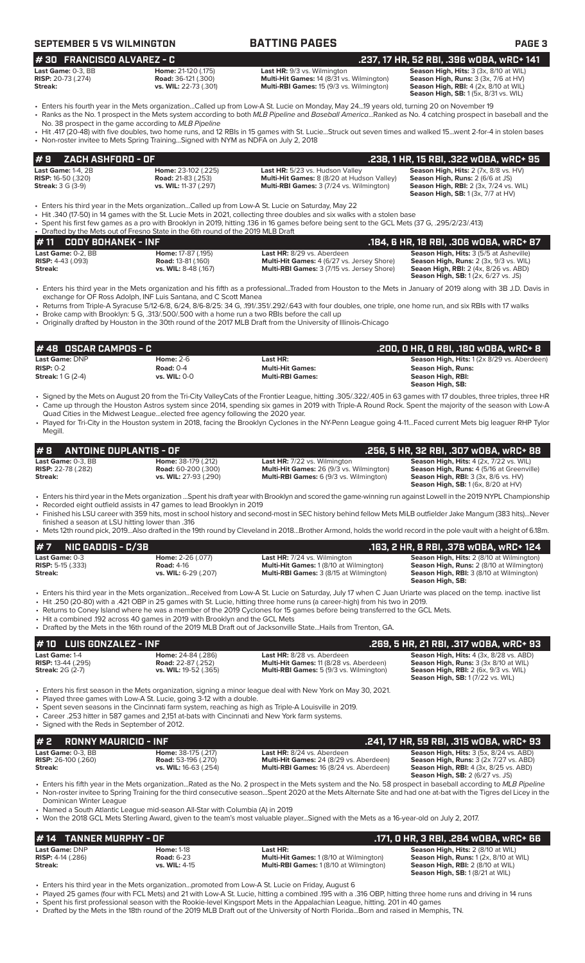| <b>SEPTEMBER 5 VS WILMINGTON</b>                                                               |                                                                                                                                                                        | <b>BATTING PAGES</b>                                                                                                                                                                                                                                                                                                                                                                                                                                                                                                                          | <b>PAGE 3</b>                                                                                                                                                                                                              |
|------------------------------------------------------------------------------------------------|------------------------------------------------------------------------------------------------------------------------------------------------------------------------|-----------------------------------------------------------------------------------------------------------------------------------------------------------------------------------------------------------------------------------------------------------------------------------------------------------------------------------------------------------------------------------------------------------------------------------------------------------------------------------------------------------------------------------------------|----------------------------------------------------------------------------------------------------------------------------------------------------------------------------------------------------------------------------|
| #30 FRANCISCO ALVAREZ - C                                                                      |                                                                                                                                                                        |                                                                                                                                                                                                                                                                                                                                                                                                                                                                                                                                               | .237, 17 HR, 52 RBI, .396 wOBA, wRC+ 141                                                                                                                                                                                   |
| Last Game: 0-3, BB<br><b>RISP:</b> 20-73 (.274)<br>Streak:                                     | Home: 21-120 (.175)<br><b>Road: 36-121 (.300)</b><br>vs. WIL: 22-73 (.301)                                                                                             | Last HR: 9/3 vs. Wilmington<br>Multi-Hit Games: 14 (8/31 vs. Wilmington)<br>Multi-RBI Games: 15 (9/3 vs. Wilmington)                                                                                                                                                                                                                                                                                                                                                                                                                          | Season High, Hits: 3 (3x, 8/10 at WIL)<br>Season High, Runs: 3 (3x, 7/6 at HV)<br><b>Season High, RBI: 4 (2x, 8/10 at WIL)</b><br>Season High, SB: 1 (5x, 8/31 vs. WIL)                                                    |
|                                                                                                | No. 38 prospect in the game according to MLB Pipeline<br>• Non-roster invitee to Mets Spring TrainingSigned with NYM as NDFA on July 2, 2018                           | • Enters his fourth year in the Mets organizationCalled up from Low-A St. Lucie on Monday, May 2419 years old, turning 20 on November 19<br>• Ranks as the No. 1 prospect in the Mets system according to both MLB Pipeline and Baseball AmericaRanked as No. 4 catching prospect in baseball and the<br>• Hit .417 (20-48) with five doubles, two home runs, and 12 RBIs in 15 games with St. LucieStruck out seven times and walked 15went 2-for-4 in stolen bases                                                                          |                                                                                                                                                                                                                            |
| #9<br>ZACH ASHFORD - OF                                                                        |                                                                                                                                                                        |                                                                                                                                                                                                                                                                                                                                                                                                                                                                                                                                               | .238, 1 HR, 15 RBI, .322 wOBA, wRC+ 95                                                                                                                                                                                     |
| <b>Last Game: 1-4, 2B</b><br><b>RISP:</b> 16-50 (.320)<br><b>Streak: 3 G (3-9)</b>             | Home: 23-102 (.225)<br>Road: 21-83 (.253)<br>vs. WIL: 11-37 (.297)                                                                                                     | Last HR: 5/23 vs. Hudson Valley<br>Multi-Hit Games: 8 (8/20 at Hudson Valley)<br>Multi-RBI Games: 3 (7/24 vs. Wilmington)                                                                                                                                                                                                                                                                                                                                                                                                                     | Season High, Hits: 2 (7x, 8/8 vs. HV)<br>Season High, Runs: 2 (6/6 at JS)<br>Season High, RBI: 2 (3x, 7/24 vs. WIL)<br><b>Season High, SB:</b> 1 (3x, 7/7 at HV)                                                           |
|                                                                                                | • Drafted by the Mets out of Fresno State in the 6th round of the 2019 MLB Draft                                                                                       | Enters his third year in the Mets organizationCalled up from Low-A St. Lucie on Saturday, May 22<br>• Hit .340 (17-50) in 14 games with the St. Lucie Mets in 2021, collecting three doubles and six walks with a stolen base<br>• Spent his first few games as a pro with Brooklyn in 2019, hitting .136 in 16 games before being sent to the GCL Mets (37 G, .295/2/23/.413)                                                                                                                                                                |                                                                                                                                                                                                                            |
| #11<br><b>CODY BOHANEK - INF</b><br>Last Game: 0-2. BB<br><b>RISP:</b> 4-43 (.093)<br>Streak:  | Home: 17-87 (.195)<br><b>Road: 13-81 (.160)</b><br>vs. WIL: 8-48 (.167)                                                                                                | Last HR: 8/29 vs. Aberdeen<br>Multi-Hit Games: 4 (6/27 vs. Jersey Shore)<br>Multi-RBI Games: 3 (7/15 vs. Jersey Shore)                                                                                                                                                                                                                                                                                                                                                                                                                        | .184, 6 HR, 18 RBI, .306 wOBA, wRC+ 87<br>Season High, Hits: 3 (5/5 at Asheville)<br>Season High, Runs: 2 (3x, 9/3 vs. WIL)<br><b>Seaon High, RBI:</b> 2 (4x, 8/26 vs. ABD)<br><b>Season High, SB:</b> 1 (2x, 6/27 vs. JS) |
| 48 OSCAR CAMPOS - C                                                                            | exchange for OF Ross Adolph, INF Luis Santana, and C Scott Manea<br>• Broke camp with Brooklyn: 5 G, .313/.500/.500 with a home run a two RBIs before the call up      | • Returns from Triple-A Syracuse 5/12-6/8, 6/24, 8/6-8/25: 34 G, .191/.351/.292/.643 with four doubles, one triple, one home run, and six RBIs with 17 walks<br>• Originally drafted by Houston in the 30th round of the 2017 MLB Draft from the University of Illinois-Chicago                                                                                                                                                                                                                                                               | .200, 0 HR, 0 RBI, .180 w0BA, wRC+ 8                                                                                                                                                                                       |
| <b>Last Game: DNP</b>                                                                          | <b>Home: 2-6</b>                                                                                                                                                       | Last HR:                                                                                                                                                                                                                                                                                                                                                                                                                                                                                                                                      | Season High, Hits: 1 (2x 8/29 vs. Aberdeen)                                                                                                                                                                                |
| <b>RISP: 0-2</b><br><b>Streak:</b> 1 G (2-4)                                                   | <b>Road: 0-4</b><br>vs. WIL: 0-0                                                                                                                                       | <b>Multi-Hit Games:</b><br><b>Multi-RBI Games:</b>                                                                                                                                                                                                                                                                                                                                                                                                                                                                                            | <b>Season High, Runs:</b><br>Season High, RBI:<br>Season High, SB:                                                                                                                                                         |
|                                                                                                |                                                                                                                                                                        |                                                                                                                                                                                                                                                                                                                                                                                                                                                                                                                                               |                                                                                                                                                                                                                            |
| Megill.<br>#8<br><b>ANTOINE DUPLANTIS - OF</b>                                                 | Quad Cities in the Midwest Leagueelected free agency following the 2020 year.                                                                                          | · Signed by the Mets on August 20 from the Tri-City ValleyCats of the Frontier League, hitting .305/.322/.405 in 63 games with 17 doubles, three triples, three HR<br>• Came up through the Houston Astros system since 2014, spending six games in 2019 with Triple-A Round Rock. Spent the majority of the season with Low-A<br>• Played for Tri-City in the Houston system in 2018, facing the Brooklyn Cyclones in the NY-Penn League going 4-11Faced current Mets big leaguer RHP Tylor                                                  | .256, 5 HR, 32 RBI, .307 wOBA, wRC+ 88                                                                                                                                                                                     |
| Last Game: 0-3. BB<br><b>RISP:</b> 22-78 (.282)<br>Streak:                                     | Home: 38-179 (.212)<br><b>Road: 60-200 (.300)</b><br>vs. WIL: 27-93 (.290)                                                                                             | Last HR: 7/22 vs. Wilmington<br>Multi-Hit Games: 26 (9/3 vs. Wilmington)<br>Multi-RBI Games: 6 (9/3 vs. Wilmington)                                                                                                                                                                                                                                                                                                                                                                                                                           | Season High, Hits: 4 (2x, 7/22 vs. WIL)<br>Season High, Runs: 4 (5/16 at Greenville)<br><b>Season High, RBI:</b> 3 (3x, 8/6 vs. HV)<br>Season High, SB: 1 (6x, 8/20 at HV)                                                 |
| finished a season at LSU hitting lower than .316                                               | • Recorded eight outfield assists in 47 games to lead Brooklyn in 2019                                                                                                 | · Enters his third year in the Mets organization  Spent his draft year with Brooklyn and scored the game-winning run against Lowell in the 2019 NYPL Championship<br>• Finished his LSU career with 359 hits, most in school history and second-most in SEC history behind fellow Mets MiLB outfielder Jake Mangum (383 hits)Never                                                                                                                                                                                                            |                                                                                                                                                                                                                            |
|                                                                                                |                                                                                                                                                                        | • Mets 12th round pick, 2019Also drafted in the 19th round by Cleveland in 2018Brother Armond, holds the world record in the pole vault with a height of 6.18m.                                                                                                                                                                                                                                                                                                                                                                               |                                                                                                                                                                                                                            |
| #7<br><b>NIC GADDIS - C/3B</b><br>Last Game: 0-3<br><b>RISP:</b> 5-15 (.333)<br><b>Streak:</b> | <b>Home: 2-26 (.077)</b><br><b>Road: 4-16</b><br>vs. WIL: 6-29 (.207)                                                                                                  | Last HR: 7/24 vs. Wilmington<br>Multi-Hit Games: 1 (8/10 at Wilmington)<br>Multi-RBI Games: 3 (8/15 at Wilmington)                                                                                                                                                                                                                                                                                                                                                                                                                            | .163, 2 HR, 8 RBI, .378 wDBA, wRC+ 124<br>Season High, Hits: 2 (8/10 at Wilmington)<br>Season High, Runs: 2 (8/10 at Wilmington)<br>Season High, RBI: 3 (8/10 at Wilmington)<br>Season High, SB:                           |
|                                                                                                | • Hit a combined .192 across 40 games in 2019 with Brooklyn and the GCL Mets                                                                                           | • Enters his third year in the Mets organizationReceived from Low-A St. Lucie on Saturday, July 17 when C Juan Uriarte was placed on the temp. inactive list<br>• Hit .250 (20-80) with a .421 OBP in 25 games with St. Lucie, hitting three home runs (a career-high) from his two in 2019.<br>• Returns to Coney Island where he was a member of the 2019 Cyclones for 15 games before being transferred to the GCL Mets.<br>• Drafted by the Mets in the 16th round of the 2019 MLB Draft out of Jacksonville StateHails from Trenton, GA. |                                                                                                                                                                                                                            |
| #10 LUIS GONZALEZ - INF                                                                        |                                                                                                                                                                        |                                                                                                                                                                                                                                                                                                                                                                                                                                                                                                                                               | .269, 5 HR, 21 RBI, .317 wOBA, wRC+ 93                                                                                                                                                                                     |
| Last Game: 1-4<br><b>RISP:</b> 13-44 (.295)<br><b>Streak: 2G (2-7)</b>                         | Home: 24-84 (.286)<br><b>Road:</b> 22-87 (.252)<br>vs. WIL: 19-52 (.365)                                                                                               | Last HR: 8/28 vs. Aberdeen<br>Multi-Hit Games: 11 (8/28 vs. Aberdeen)<br>Multi-RBI Games: 5 (9/3 vs. Wilmington)                                                                                                                                                                                                                                                                                                                                                                                                                              | Season High, Hits: 4 (3x, 8/28 vs. ABD)<br>Season High, Runs: 3 (3x 8/10 at WIL)<br>Season High, RBI: 2 (6x, 9/3 vs. WIL)<br><b>Season High, SB: 1 (7/22 vs. WIL)</b>                                                      |
| • Signed with the Reds in September of 2012.                                                   | • Played three games with Low-A St. Lucie, going 3-12 with a double.<br>• Career .253 hitter in 587 games and 2,151 at-bats with Cincinnati and New York farm systems. | • Enters his first season in the Mets organization, signing a minor league deal with New York on May 30, 2021.<br>• Spent seven seasons in the Cincinnati farm system, reaching as high as Triple-A Louisville in 2019.                                                                                                                                                                                                                                                                                                                       |                                                                                                                                                                                                                            |
| #2<br><b>RONNY MAURICIO - INF</b><br>Last Game: 0-3. BB                                        | Home: 38-175 (.217)                                                                                                                                                    | Last HR: 8/24 vs. Aberdeen                                                                                                                                                                                                                                                                                                                                                                                                                                                                                                                    | .241, 17 HR, 59 RBI, .315 WOBA, WRC+ 93<br>Season High, Hits: 3 (5x, 8/24 vs. ABD)                                                                                                                                         |

• Named a South Atlantic League mid-season All-Star with Columbia (A) in 2019

• Won the 2018 GCL Mets Sterling Award, given to the team's most valuable player...Signed with the Mets as a 16-year-old on July 2, 2017.

# **Last Game:** DNP **Home:** 1-18 **Last HR: Season High, Hits:** 2 (8/10 at WIL) **# 14 TANNER MURPHY - OF**<br>
Last HR: **.171, 0 HR, 3 RBI, .284 wOBA, wRC+ 66**<br>
RISP: 4-14 (.286) Road: 6-23 **Road: 6-23** Multi-Hit Games: 1 (8/10 at Wilmington) Season High, Runs: 1 (2x, 8/10 at WIL)

**RISP:** 4-14 (.286) **Road:** 6-23 **Multi-Hit Games:** 1 (8/10 at Wilmington) **Season High, Runs:** 1 (2x, 8/10 at WIL) **Streak: vs. WIL:** 4-15 **Multi-RBI Games:** 1 (8/10 at Wilmington) **Season High, Hits: 2 (8/10 at WIL)**<br>**Season High, Hits: 2 (8/10 at WIL)**<br>**Season High, RBI: 2 (8/10 at WIL)**<br>**Season High, SB: 1 (8/21 at WIL)** 

• Enters his third year in the Mets organization...promoted from Low-A St. Lucie on Friday, August 6

• Played 25 games (four with FCL Mets) and 21 with Low-A St. Lucie, hitting a combined .195 with a .316 OBP, hitting three home runs and driving in 14 runs

• Spent his first professional season with the Rookie-level Kingsport Mets in the Appalachian League, hitting. 201 in 40 games • Drafted by the Mets in the 18th round of the 2019 MLB Draft out of the University of North Florida...Born and raised in Memphis, TN.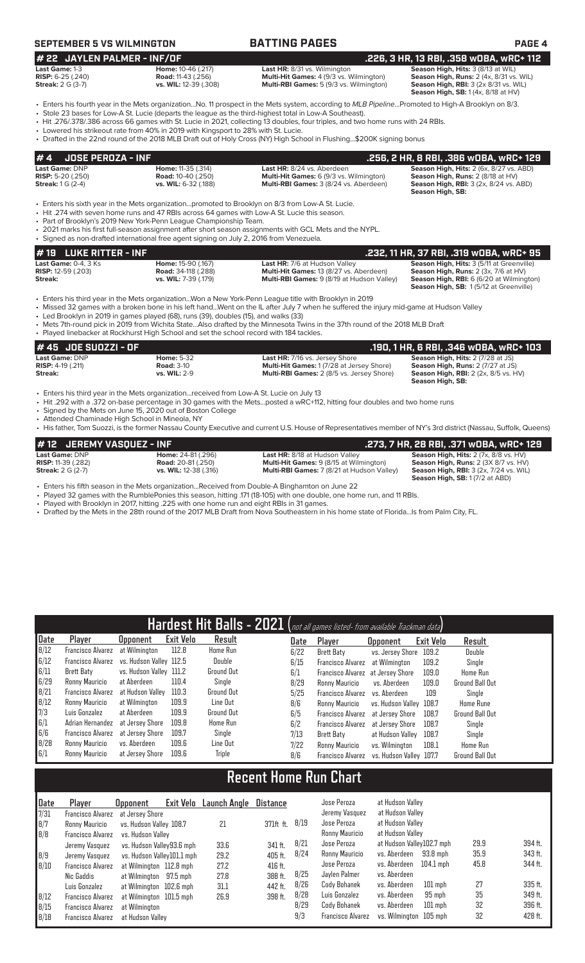# **SEPTEMBER 5 VS WILMINGTON BATTING PAGES PAGE 4**

### **# 22** JAYLEN PALMER - INF/OF<br>
Last HR: 8/31 vs. Wilmington **.226, 3 HR, 13 RBI, .358 wOBA, wRC+ 112**<br>
RISP: 6-25 (.240) RISP: 6-25 (.240) Road: 11-43 (.256) Multi-Hit Games: 4 (9/3 vs. Wilmington) Reason High, Runs: 2 (4x **Last Game:** 1-3 **Home:** 10-46 (.217) **Last HR:** 8/31 vs. Wilmington **Season High, Hits:** 3 (8/13 at WIL) **RISP:** 6-25 (.240) **Road:** 11-43 (.256) **Multi-Hit Games:** 4 (9/3 vs. Wilmington) **Season High, Runs:** 2 (4x, 8/31 vs. WIL) **Streak: 1.240)**<br> **Streak: 2 G (3-7)**<br> **Streak: 2 G (3-7)**<br> **Streak: 2 G (3-7)**<br> **Vs. WIL:** 12-39 (.308)<br> **Multi-RBI Games:** 5 (9/3 vs. Wilmington)

**Season High, RBI:** 3 (2x 8/31 vs. WIL)<br>**Season High, SB:** 1 (4x, 8/18 at HV)

• Enters his fourth year in the Mets organization...No. 11 prospect in the Mets system, according to *MLB Pipeline*...Promoted to High-A Brooklyn on 8/3. • Stole 23 bases for Low-A St. Lucie (departs the league as the third-highest total in Low-A Southeast).

• Hit .276/.378/.386 across 66 games with St. Lucie in 2021, collecting 13 doubles, four triples, and two home runs with 24 RBIs.

• Lowered his strikeout rate from 40% in 2019 with Kingsport to 28% with St. Lucie.

• Drafted in the 22nd round of the 2018 MLB Draft out of Holy Cross (NY) High School in Flushing...\$200K signing bonus

| #4                                                                       | <b>JOSE PEROZA - INF</b>                                                                                                                                                                                                                                                                                                                                                                                                                                                        |                                                                                                                                                                                  |                                                                                                                                                                                                                                                                                                                                                                                 | .256, 2 HR, 8 RBI, .386 wOBA, wRC+ 129                                                                                                                                  |  |  |  |  |  |
|--------------------------------------------------------------------------|---------------------------------------------------------------------------------------------------------------------------------------------------------------------------------------------------------------------------------------------------------------------------------------------------------------------------------------------------------------------------------------------------------------------------------------------------------------------------------|----------------------------------------------------------------------------------------------------------------------------------------------------------------------------------|---------------------------------------------------------------------------------------------------------------------------------------------------------------------------------------------------------------------------------------------------------------------------------------------------------------------------------------------------------------------------------|-------------------------------------------------------------------------------------------------------------------------------------------------------------------------|--|--|--|--|--|
| Last Game: DNP<br><b>RISP:</b> 5-20 $(.250)$<br><b>Streak:</b> 1 G (2-4) |                                                                                                                                                                                                                                                                                                                                                                                                                                                                                 | Home: 11-35 (.314)<br><b>Road: 10-40 (.250)</b><br>vs. WIL: 6-32 (.188)                                                                                                          | Last HR: 8/24 vs. Aberdeen<br><b>Multi-Hit Games:</b> 6 (9/3 vs. Wilmington)<br>Multi-RBI Games: 3 (8/24 vs. Aberdeen)                                                                                                                                                                                                                                                          | Season High, Hits: 2 (6x, 8/27 vs. ABD)<br>Season High, Runs: 2 (8/18 at HV)<br><b>Season High, RBI:</b> 3 (2x, 8/24 vs. ABD)<br>Season High, SB:                       |  |  |  |  |  |
|                                                                          | . Enters his sixth year in the Mets organizationpromoted to Brooklyn on 8/3 from Low-A St. Lucie.<br>• Hit .274 with seven home runs and 47 RBIs across 64 games with Low-A St. Lucie this season.<br>• Part of Brooklyn's 2019 New York-Penn League Championship Team.<br>• 2021 marks his first full-season assignment after short season assignments with GCL Mets and the NYPL.<br>• Signed as non-drafted international free agent signing on July 2, 2016 from Venezuela. |                                                                                                                                                                                  |                                                                                                                                                                                                                                                                                                                                                                                 |                                                                                                                                                                         |  |  |  |  |  |
| #19                                                                      | <b>LUKE RITTER - INF</b>                                                                                                                                                                                                                                                                                                                                                                                                                                                        |                                                                                                                                                                                  |                                                                                                                                                                                                                                                                                                                                                                                 | .232, 11 HR, 37 RBI, .319 wOBA, wRC+ 95                                                                                                                                 |  |  |  |  |  |
| <b>RISP:</b> 12-59 (.203)<br>Streak:                                     | <b>Last Game: 0-4, 3 Ks</b>                                                                                                                                                                                                                                                                                                                                                                                                                                                     | Home: 15-90 (.167)<br><b>Road: 34-118 (.288)</b><br>vs. WIL: 7-39 (.179)                                                                                                         | <b>Last HR: 7/6 at Hudson Valley</b><br>Multi-Hit Games: 13 (8/27 vs. Aberdeen)<br>Multi-RBI Games: 9 (8/19 at Hudson Valley)                                                                                                                                                                                                                                                   | Season High, Hits: 3 (5/11 at Greenville)<br>Season High, Runs: 2 (3x, 7/6 at HV)<br>Season High, RBI: 6 (6/20 at Wilmington)<br>Season High, SB: 1(5/12 at Greenville) |  |  |  |  |  |
|                                                                          |                                                                                                                                                                                                                                                                                                                                                                                                                                                                                 | • Led Brooklyn in 2019 in games played (68), runs (39), doubles (15), and walks (33)<br>• Played linebacker at Rockhurst High School and set the school record with 184 tackles. | • Enters his third year in the Mets organizationWon a New York-Penn League title with Brooklyn in 2019<br>• Missed 32 games with a broken bone in his left handWent on the IL after July 7 when he suffered the injury mid-game at Hudson Valley<br>• Mets 7th-round pick in 2019 from Wichita StateAlso drafted by the Minnesota Twins in the 37th round of the 2018 MLB Draft |                                                                                                                                                                         |  |  |  |  |  |
|                                                                          | <b>JOE SUOZZI - OF</b>                                                                                                                                                                                                                                                                                                                                                                                                                                                          |                                                                                                                                                                                  |                                                                                                                                                                                                                                                                                                                                                                                 | .190, 1 HR, 6 RBI, .346 w0BA, wRC+ 103                                                                                                                                  |  |  |  |  |  |

| Last Game: DNP               | <b>Home:</b> 5-32   | <b>Last HR:</b> 7/16 vs. Jersey Shore            | <b>Season High, Hits: 2 (7/28 at JS)</b>               |
|------------------------------|---------------------|--------------------------------------------------|--------------------------------------------------------|
| <b>RISP:</b> $4-19$ $(.211)$ | <b>Road: 3-10</b>   | <b>Multi-Hit Games: 1(7/28 at Jersey Shore)</b>  | <b>Season High, Runs: 2 (7/27 at JS)</b>               |
| Streak:                      | <b>vs. WIL: 2-9</b> | <b>Multi-RBI Games: 2 (8/5 vs. Jersey Shore)</b> | <b>Season High, RBI:</b> $2$ ( $2x$ , $8/5$ vs. $HV$ ) |
|                              |                     |                                                  | Season High, SB:                                       |
|                              |                     |                                                  |                                                        |

• Enters his third year in the Mets organization...received from Low-A St. Lucie on July 13

• Hit .292 with a .372 on-base percentage in 30 games with the Mets...posted a wRC+112, hitting four doubles and two home runs

• Signed by the Mets on June 15, 2020 out of Boston College

• Attended Chaminade High School in Mineola, NY • His father, Tom Suozzi, is the former Nassau County Executive and current U.S. House of Representatives member of NY's 3rd district (Nassau, Suffolk, Queens)

| # 12 JEREMY VASOUEZ - INF |                           |                                                   | .273, 7 HR, 28 RBI, .371 wOBA, wRC+ 129       |
|---------------------------|---------------------------|---------------------------------------------------|-----------------------------------------------|
| Last Game: DNP            | <b>Home: 24-81 (.296)</b> | <b>Last HR:</b> 8/18 at Hudson Valley             | Season High, Hits: 2 (7x, 8/8 vs. HV)         |
| <b>RISP:</b> 11-39 (.282) | <b>Road:</b> 20-81 (.250) | <b>Multi-Hit Games:</b> 9 (8/15 at Wilmington)    | Season High, Runs: 2 (3X 8/7 vs. HV)          |
| <b>Streak: 2 G (2-7)</b>  | vs. WIL: 12-38 (.316)     | <b>Multi-RBI Games: 7 (8/21 at Hudson Valley)</b> | <b>Season High, RBI: 3 (2x, 7/24 vs. WIL)</b> |
|                           |                           |                                                   | <b>Season High, SB: 1 (7/2 at ABD)</b>        |

• Enters his fifth season in the Mets organization...Received from Double-A Binghamton on June 22

• Played 32 games with the RumblePonies this season, hitting .171 (18-105) with one double, one home run, and 11 RBIs.<br>• Played with Brooklyn in 2017 hitting 225 with one home run and eight RBIs in 31 games

Played with Brooklyn in 2017, hitting .225 with one home run and eight RBIs in 31 games.

• Drafted by the Mets in the 28th round of the 2017 MLB Draft from Nova Southeastern in his home state of Florida...Is from Palm City, FL.

|      |                                           |                         |           | Hardest Hit Balls - 2021 (not all games listed- from available Trackman data) |      |                                   |                         |           |                        |
|------|-------------------------------------------|-------------------------|-----------|-------------------------------------------------------------------------------|------|-----------------------------------|-------------------------|-----------|------------------------|
| Date | Player                                    | <b>Opponent</b>         | Exit Velo | Result                                                                        | Date | Player                            | <b>Opponent</b>         | Exit Velo | Result                 |
| 8/12 | Francisco Alvarez                         | at Wilmington           | 112.8     | <b>Home Run</b>                                                               | 6/22 | Brett Baty                        | vs. Jersev Shore        | 109.2     | Double                 |
| 6/12 | Francisco Alvarez vs. Hudson Valley 112.5 |                         |           | Double                                                                        | 6/15 | <b>Francisco Alvarez</b>          | at Wilmington           | 109.2     | Single                 |
| 6/11 | Brett Baty                                | vs. Hudson Valley 111.2 |           | <b>Ground Out</b>                                                             | 6/1  | Francisco Alvarez at Jersey Shore |                         | 109.0     | Home Run               |
| 6/29 | Ronny Mauricio                            | at Aberdeen             | 110.4     | Sinale                                                                        | 8/29 | Ronny Mauricio                    | vs. Aberdeen            | 109.0     | <b>Ground Ball Out</b> |
| 8/21 | Francisco Alvarez                         | at Hudson Vallev        | 110.3     | Ground Out                                                                    | 5/25 | Francisco Alvarez                 | vs. Aberdeen            | 109       | Single                 |
| 8/12 | Ronny Mauricio                            | at Wilmington           | 109.9     | Line Out                                                                      | 8/6  | Ronny Mauricio                    | vs. Hudson Valley 108.7 |           | <b>Home Rune</b>       |
| 7/3  | Luis Gonzalez                             | at Aberdeen             | 109.9     | Ground Out                                                                    | 6/5  | <b>Francisco Alvarez</b>          | at Jersev Shore         | 108.7     | <b>Ground Ball Out</b> |
| 6/1  | Adrian Hernandez                          | at Jersev Shore         | 109.8     | <b>Home Run</b>                                                               | 6/2  | Francisco Alvarez                 | at Jersev Shore         | 108.7     | Single                 |
| 6/6  | Francisco Alvarez                         | at Jersev Shore         | 109.7     | Single                                                                        | 7/13 | Brett Baty                        | at Hudson Valley        | 108.7     | Single                 |
| 8/28 | Ronny Mauricio                            | vs. Aberdeen            | 109.6     | Line Out                                                                      | 7/22 | Ronny Mauricio                    | vs. Wilminaton          | 108.1     | <b>Home Run</b>        |
| 6/1  | Ronny Mauricio                            | at Jersey Shore         | 109.6     | Triple                                                                        | 8/6  | <b>Francisco Alvarez</b>          | vs. Hudson Vallev 107.7 |           | <b>Ground Ball Out</b> |

# **Recent Home Run Chart**

| Date | Player                   | Exit Velo<br><b>Opponent</b> | Launch Angle | Distance  |      | Jose Peroza              | at Hudson Valley          |             |      |         |
|------|--------------------------|------------------------------|--------------|-----------|------|--------------------------|---------------------------|-------------|------|---------|
| 7/31 | Francisco Alvarez        | at Jersev Shore              |              |           |      | Jeremy Vasquez           | at Hudson Valley          |             |      |         |
| 8/7  | Ronny Mauricio           | vs. Hudson Valley 108.7      | 21           | 371ft ft. | 8/19 | Jose Peroza              | at Hudson Valley          |             |      |         |
| B/B  | Francisco Alvarez        | vs. Hudson Vallev            |              |           |      | Ronny Mauricio           | at Hudson Valley          |             |      |         |
|      | Jeremy Vasquez           | vs. Hudson Valley93.6 mph    | 33.6         | 341 ft.   | 8/21 | Jose Peroza              | at Hudson Valley102.7 mph |             | 29.9 | 394 ft. |
| 8/9  | Jeremy Vasquez           | vs. Hudson Valley101.1 mph   | 29.2         | 405 ft.   | 8/24 | Ronny Mauricio           | vs. Aberdeen              | 93.8 mph    | 35.9 | 343 ft. |
| 8/10 | Francisco Alvarez        | at Wilmington 112.8 mph      | 27.2         | 416 ft.   |      | Jose Peroza              | vs. Aberdeen              | $104.1$ mph | 45.8 | 344 ft. |
|      | Nic Gaddis               | at Wilmington 97.5 mph       | 27.8         | 388 ft.   | 8/25 | Jaylen Palmer            | vs. Aberdeen              |             |      |         |
|      | Luis Gonzalez            | at Wilmington 102.6 mph      | 31.1         | 442 ft.   | 8/26 | Cody Bohanek             | vs. Aberdeen              | $101$ mph   | 27   | 335 ft. |
| 8/12 | Francisco Alvarez        | at Wilmington 101.5 mph      | 26.9         | 398 ft.   | 8/28 | Luis Gonzalez            | vs. Aberdeen              | 95 mph      | 35   | 349 ft. |
| 8/15 | <b>Francisco Alvarez</b> | at Wilmington                |              |           | 8/29 | Cody Bohanek             | vs. Aberdeen              | $101$ mph   | 32   | 396 ft. |
| 8/18 | <b>Francisco Alvarez</b> | at Hudson Valley             |              |           | 9/3  | <b>Francisco Alvarez</b> | vs. Wilmington 105 mph    |             | 32   | 428 ft. |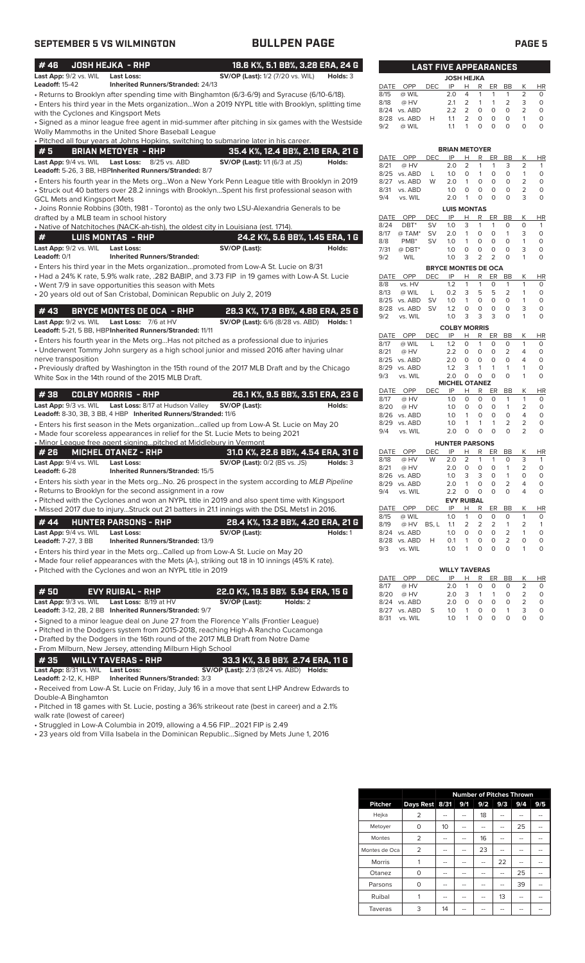| <b>SEPTEMBER 5 VS WILMINGTON</b>                                                                                                                                                                                                                                                                                                                                                                                                                                      | <b>BULLPEN PAGE</b>                                                                     |                                                                                                                        |                                                                       |                                                                                                                                     |                                                                               |                                                                       |                                                                              | <b>PAGE 5</b>                                                         |
|-----------------------------------------------------------------------------------------------------------------------------------------------------------------------------------------------------------------------------------------------------------------------------------------------------------------------------------------------------------------------------------------------------------------------------------------------------------------------|-----------------------------------------------------------------------------------------|------------------------------------------------------------------------------------------------------------------------|-----------------------------------------------------------------------|-------------------------------------------------------------------------------------------------------------------------------------|-------------------------------------------------------------------------------|-----------------------------------------------------------------------|------------------------------------------------------------------------------|-----------------------------------------------------------------------|
| #46<br><b>JOSH HEJKA - RHP</b><br>Last App: 9/2 vs. WIL<br><b>Last Loss:</b>                                                                                                                                                                                                                                                                                                                                                                                          | 18.6 K%, 5.1 BB%, 3.28 ERA, 24 G<br><b>SV/OP (Last):</b> 1/2 (7/20 vs. WIL)<br>Holds: 3 |                                                                                                                        | <b>LAST FIVE APPEARANCES</b>                                          | <b>JOSH HEJKA</b>                                                                                                                   |                                                                               |                                                                       |                                                                              |                                                                       |
| <b>Leadoff: 15-42</b><br>Inherited Runners/Stranded: 24/13<br>• Returns to Brooklyn after spending time with Binghamton (6/3-6/9) and Syracuse (6/10-6/18).<br>• Enters his third year in the Mets organizationWon a 2019 NYPL title with Brooklyn, splitting time<br>with the Cyclones and Kingsport Mets<br>Signed as a minor league free agent in mid-summer after pitching in six games with the Westside •<br>Wolly Mammoths in the United Shore Baseball League |                                                                                         | DATE<br>OPP<br>8/15<br>@ WIL<br>8/18<br>@ HV<br>8/24 vs. ABD<br>8/28 vs. ABD<br>9/2<br>@ WIL                           | IP<br>DEC.<br>2.0<br>2.1<br>2.2<br>H<br>1.1<br>1.1                    | н<br>R<br>$\overline{4}$<br>$\mathbf{1}$<br>$\overline{2}$<br>$\mathbf{1}$<br>2<br>$\circ$<br>2<br>0<br>$\mathbf{1}$<br>$\mathbf 0$ | ER<br>$\mathbf{1}$<br>$\mathbf{1}$<br>$\circ$<br>$\circ$<br>$\circ$           | BB<br>$\mathbf{1}$<br>$\overline{2}$<br>$\circ$<br>$\circ$<br>$\circ$ | Κ<br>2<br>3<br>$\overline{2}$<br>1<br>$\circ$                                | <b>HR</b><br>$\circ$<br>$\circ$<br>$\circ$<br>$\circ$<br>$\mathsf O$  |
| . Pitched all four years at Johns Hopkins, switching to submarine later in his career.<br>#5<br><b>BRIAN METOYER - RHP</b>                                                                                                                                                                                                                                                                                                                                            | 35.4 K%, 12.4 BB%, 2.18 ERA, 21 G                                                       |                                                                                                                        |                                                                       | <b>BRIAN METOYER</b>                                                                                                                |                                                                               |                                                                       |                                                                              |                                                                       |
| Last App: 9/4 vs. WIL Last Loss: 8/25 vs. ABD<br>Leadoff: 5-26, 3 BB, HBPInherited Runners/Stranded: 8/7<br>. Enters his fourth year in the Mets orgWon a New York Penn League title with Brooklyn in 2019<br>• Struck out 40 batters over 28.2 innings with BrooklynSpent his first professional season with                                                                                                                                                         | <b>SV/OP (Last):</b> 1/1 (6/3 at JS)<br>Holds:                                          | DATE<br>OPP<br>8/21<br>@ HV<br>8/25<br>vs. ABD<br>8/27 vs. ABD<br>8/31<br>vs. ABD<br>9/4<br>vs. WIL                    | IP<br><b>DEC</b><br>2.0<br>1.0<br>L<br>W<br>2.0<br>1.0<br>2.0         | Н<br>R<br>2<br>$\mathbf{1}$<br>$\circ$<br>$\mathbf{1}$<br>$\overline{1}$<br>0<br>$\mathsf O$<br>$\mathsf O$<br>$\overline{1}$<br>0  | ER<br>$\mathbf{1}$<br>$\circ$<br>$\circ$<br>$\circ$<br>$\circ$                | BB<br>3<br>$\circ$<br>0<br>$\mathsf O$<br>$\circ$                     | К<br>$\overline{2}$<br>$\mathbf{1}$<br>$\overline{2}$<br>$\overline{2}$<br>3 | HR<br>$\mathbf{1}$<br>$\circ$<br>$\circ$<br>$\circ$<br>$\circ$        |
| <b>GCL Mets and Kingsport Mets</b><br>• Joins Ronnie Robbins (30th, 1981 - Toronto) as the only two LSU-Alexandria Generals to be                                                                                                                                                                                                                                                                                                                                     |                                                                                         |                                                                                                                        |                                                                       | <b>LUIS MONTAS</b>                                                                                                                  |                                                                               |                                                                       |                                                                              |                                                                       |
| drafted by a MLB team in school history<br>. Native of Natchitoches (NACK-ah-tish), the oldest city in Louisiana (est. 1714).<br>#<br><b>LUIS MONTAS - RHP</b><br>Last App: 9/2 vs. WIL<br><b>Last Loss:</b><br>Leadoff: 0/1<br><b>Inherited Runners/Stranded:</b>                                                                                                                                                                                                    | 24.2 K%, 5.6 BB%, 1.45 ERA, 1 G<br>SV/OP (Last):<br>Holds:                              | DATE<br>OPP<br>8/24<br>DBT <sup>*</sup><br>8/17<br>@ TAM*<br>8/8<br>PMB <sup>*</sup><br>7/31<br>$@$ DBT*<br>9/2<br>WIL | DEC<br>IP<br>1.0<br>SV<br><b>SV</b><br>2.0<br>1.0<br>SV<br>1.0<br>1.0 | н<br>R<br>3<br>$\mathbf{1}$<br>$\mathbf{1}$<br>0<br>$\mathbf{1}$<br>0<br>$\circ$<br>0<br>$\overline{2}$<br>3                        | ER<br>$\mathbf{1}$<br>$\circ$<br>$\mathsf O$<br>$\mathsf O$<br>$\overline{2}$ | BB<br>$\circ$<br>$\mathbf{1}$<br>$\mathsf O$<br>$\circ$<br>$\Omega$   | Κ<br>$\circ$<br>3<br>$\mathbf{1}$<br>3<br>1                                  | <b>HR</b><br>$\mathbf{1}$<br>$\circ$<br>$\circ$<br>$\circ$<br>$\circ$ |
| • Enters his third year in the Mets organizationpromoted from Low-A St. Lucie on 8/31                                                                                                                                                                                                                                                                                                                                                                                 |                                                                                         |                                                                                                                        | <b>BRYCE MONTES DE OCA</b>                                            |                                                                                                                                     |                                                                               |                                                                       |                                                                              |                                                                       |
| • Had a 24% K rate, 5.9% walk rate, .282 BABIP, and 3.73 FIP in 19 games with Low-A St. Lucie<br>• Went 7/9 in save opportunities this season with Mets<br>• 20 years old out of San Cristobal, Dominican Republic on July 2, 2019                                                                                                                                                                                                                                    |                                                                                         | DATE<br>OPP<br>8/8<br>vs. HV<br>8/13<br>@ WIL<br>8/25 vs. ABD                                                          | IP<br>DEC<br>1.2<br>L<br>0.2<br><b>SV</b><br>1.0                      | н<br>R<br>$\mathbf{1}$<br>1<br>3<br>5<br>$\mathbf{1}$<br>$\mathbf 0$                                                                | ER<br>0<br>5<br>$\circ$                                                       | BB<br>$\mathbf{1}$<br>2<br>$\circ$                                    | К<br>$\mathbf{1}$<br>$\mathbf{1}$<br>1                                       | HR<br>$\circ$<br>$\circ$<br>$\circ$                                   |
| #43<br><b>BRYCE MONTES DE OCA - RHP</b>                                                                                                                                                                                                                                                                                                                                                                                                                               | 28.3 K%, 17.9 BB%, 4.88 ERA, 25 G                                                       | 8/28 vs. ABD<br>9/2<br>vs. WIL                                                                                         | <b>SV</b><br>1.2<br>1.0                                               | $\mathsf O$<br>$\mathbf 0$<br>3<br>3                                                                                                | $\circ$<br>3                                                                  | $\mathbf 0$<br>$\mathbf 0$                                            | 3<br>$\mathbf{1}$                                                            | $\mathsf O$<br>$\circ$                                                |
| <b>Last App:</b> 9/2 vs. WIL<br>Last Loss: 7/6 at HV<br>Leadoff: 5-21, 5 BB, HBPInherited Runners/Stranded: 11/11                                                                                                                                                                                                                                                                                                                                                     | <b>SV/OP (Last):</b> 6/6 (8/28 vs. ABD)<br>Holds: 1                                     |                                                                                                                        |                                                                       | <b>COLBY MORRIS</b>                                                                                                                 |                                                                               |                                                                       |                                                                              |                                                                       |
| • Enters his fourth year in the Mets orgHas not pitched as a professional due to injuries<br>• Underwent Tommy John surgery as a high school junior and missed 2016 after having ulnar<br>nerve transposition<br>• Previously drafted by Washington in the 15th round of the 2017 MLB Draft and by the Chicago<br>White Sox in the 14th round of the 2015 MLB Draft.                                                                                                  |                                                                                         | DATE<br>OPP<br>8/17<br>@ WIL<br>8/21<br>@ HV<br>8/25 vs. ABD<br>8/29<br>vs. ABD<br>9/3<br>vs. WIL                      | IP<br><b>DEC</b><br>1.2<br>L<br>2.2<br>2.0<br>1.2<br>2.0              | R<br>Н<br>1<br>0<br>$\circ$<br>0<br>$\circ$<br>0<br>3<br>$\mathbf{1}$<br>$\circ$<br>$\circ$<br><b>MICHEL OTANEZ</b>                 | ER<br>$\circ$<br>$\circ$<br>$\circ$<br>$\mathbf{1}$<br>$\circ$                | BB<br>$\circ$<br>2<br>$\circ$<br>$\mathbf{1}$<br>$\circ$              | К<br>$\mathbf{1}$<br>4<br>$\overline{4}$<br>1<br>1                           | <b>HR</b><br>$\circ$<br>$\circ$<br>$\mathsf O$<br>$\circ$<br>$\circ$  |
| #38<br><b>COLBY MORRIS - RHP</b>                                                                                                                                                                                                                                                                                                                                                                                                                                      | 26.1 K%, 9.5 BB%, 3.51 ERA, 23 G                                                        | DATE<br>OPP<br>8/17<br>@ HV                                                                                            | <b>DEC</b><br>IP<br>1.0                                               | Н<br>R<br>$\circ$<br>0                                                                                                              | ER<br>$\circ$                                                                 | BB<br>1                                                               | К<br>$\mathbf{1}$                                                            | <b>HR</b><br>$\circ$                                                  |
| Last App: 9/3 vs. WIL Last Loss: 8/17 at Hudson Valley<br>Leadoff: 8-30, 3B, 3 BB, 4 HBP Inherited Runners/Stranded: 11/6<br>• Enters his first season in the Mets organizationcalled up from Low-A St. Lucie on May 20                                                                                                                                                                                                                                               | SV/OP (Last):<br>Holds:                                                                 | 8/20<br>@ HV<br>8/26 vs. ABD<br>8/29 vs. ABD                                                                           | 1.0<br>1.0<br>1.0                                                     | $\circ$<br>0<br>$\overline{1}$<br>$\circ$<br>$\mathbf{1}$<br>$\mathbf{1}$                                                           | $\circ$<br>$\circ$<br>$\mathbf{1}$                                            | $\mathbf{1}$<br>$\circ$<br>$\overline{2}$                             | 2<br>$\overline{4}$<br>$\overline{2}$                                        | $\circ$<br>$\circ$<br>$\mathsf O$                                     |
| • Made four scoreless appearances in relief for the St. Lucie Mets to being 2021                                                                                                                                                                                                                                                                                                                                                                                      |                                                                                         | 9/4<br>vs. WIL                                                                                                         | 2.0                                                                   | $\circ$<br>$\mathbf 0$                                                                                                              | $\circ$                                                                       | $\Omega$                                                              | $\overline{2}$                                                               | $\circ$                                                               |
| . Minor League free agent signing pitched at Middlebury in Vermont<br># 26<br><b>MICHEL OTANEZ - RHP</b>                                                                                                                                                                                                                                                                                                                                                              | 31.0 K%, 22.6 BB%, 4.54 ERA, 31 G                                                       | <b>DATE</b><br>OPP                                                                                                     | DEC IP                                                                | <b>HUNTER PARSONS</b><br>$H$ R                                                                                                      | ER BB                                                                         |                                                                       | <u>К</u>                                                                     | HR                                                                    |
| Last App: 9/4 vs. WIL<br>Last Loss:<br>Leadoff: 6-28<br>Inherited Runners/Stranded: 15/5<br>• Enters his sixth year in the Mets orgNo. 26 prospect in the system according to MLB Pipeline                                                                                                                                                                                                                                                                            | <b>SV/OP (Last):</b> 0/2 (BS vs. JS)<br>Holds: 3                                        | 8/18<br>@ HV<br>8/21<br>@ HV<br>8/26 vs. ABD<br>8/29 vs. ABD                                                           | 2.0<br>W<br>2.0<br>1.0<br>2.0                                         | 2<br>1<br>$\circ$<br>0<br>3<br>3<br>0<br>$\mathbf{1}$                                                                               | 1<br>$\mathsf O$<br>0<br>$\circ$                                              | 0<br>1<br>$\mathbf{1}$<br>$\overline{2}$                              | 3<br>2<br>0<br>4                                                             | $\mathbf{1}$<br>$\circ$<br>$\circ$<br>$\circ$                         |
| • Returns to Brooklyn for the second assignment in a row                                                                                                                                                                                                                                                                                                                                                                                                              |                                                                                         | vs. WIL<br>9/4                                                                                                         | 2.2                                                                   | $\circ$<br>0                                                                                                                        | $\circ$                                                                       | $\circ$                                                               | 4                                                                            | $\circ$                                                               |
| • Pitched with the Cyclones and won an NYPL title in 2019 and also spent time with Kingsport<br>. Missed 2017 due to injuryStruck out 21 batters in 21.1 innings with the DSL Mets1 in 2016.                                                                                                                                                                                                                                                                          |                                                                                         | DATE<br>OPP                                                                                                            | <b>DEC</b><br>IP                                                      | <b>EVY RUIBAL</b><br>н<br>R                                                                                                         | ER                                                                            | BB                                                                    | Κ                                                                            | <b>HR</b>                                                             |
| #44<br><b>HUNTER PARSONS - RHP</b><br>Last App: 9/4 vs. WIL<br><b>Last Loss:</b><br><b>Leadoff: 7-27, 3 BB</b><br>Inherited Runners/Stranded: 13/9                                                                                                                                                                                                                                                                                                                    | 28.4 K%, 13.2 BB%, 4.20 ERA, 21 G<br>SV/OP (Last):<br>Holds: 1                          | 8/15<br>@ WIL<br>8/19<br>@ HV<br>8/24 vs. ABD<br>8/28 vs. ABD                                                          | 1.0<br>BS, L<br>1.1<br>1.0<br>H<br>0.1                                | $\mathbf{1}$<br>0<br>$\overline{2}$<br>$\overline{2}$<br>0<br>$\circ$<br>0<br>$\mathbf{1}$                                          | $\mathsf O$<br>$\overline{2}$<br>$\circ$<br>$\mathsf O$                       | 0<br>$\mathbf{1}$<br>2<br>$\overline{2}$                              | 1<br>2<br>1<br>0                                                             | 0<br>1<br>$\circ$<br>$\circ$                                          |
| • Enters his third year in the Mets orgCalled up from Low-A St. Lucie on May 20<br>• Made four relief appearances with the Mets (A-), striking out 18 in 10 innings (45% K rate).<br>• Pitched with the Cyclones and won an NYPL title in 2019                                                                                                                                                                                                                        |                                                                                         | 9/3<br>vs. WIL                                                                                                         | 1.0                                                                   | $\mathbf{1}$<br>0<br><b>WILLY TAVERAS</b>                                                                                           | $\circ$                                                                       | 0                                                                     | 1                                                                            | 0                                                                     |
|                                                                                                                                                                                                                                                                                                                                                                                                                                                                       |                                                                                         | DATE<br>OPP<br>8/17<br>@ HV                                                                                            | DEC<br>IP<br>2.0                                                      | H<br>$\mathsf{R}$<br>0<br>1                                                                                                         | ER BB<br>0                                                                    | 0                                                                     | <u>К</u><br>2                                                                | HR<br>0                                                               |
| #50<br><b>EVY RUIBAL - RHP</b><br>Last App: 9/3 vs. WIL<br>Last Loss: 8/19 at HV<br>Leadoff: 3-12, 2B, 2 BB Inherited Runners/Stranded: 9/7                                                                                                                                                                                                                                                                                                                           | 22.0 K%, 19.5 BB% 5.94 ERA, 15 G<br>SV/OP (Last):<br>Holds: 2                           | 8/20<br>@ HV<br>8/24 vs. ABD<br>8/27 vs. ABD                                                                           | 2.0<br>2.0<br>S<br>1.0                                                | 3<br>1<br>0<br>0<br>0<br>$\overline{1}$                                                                                             | 1<br>$\mathsf{O}\xspace$<br>0                                                 | 0<br>$\mathsf{O}\xspace$<br>$\mathbf{1}$                              | 2<br>$\overline{2}$<br>3                                                     | 0<br>0<br>$\circ$                                                     |

• Signed to a minor league deal on June 27 from the Florence Y'alls (Frontier League)

• Pitched in the Dodgers system from 2015-2018, reaching High-A Rancho Cucamonga

• Drafted by the Dodgers in the 16th round of the 2017 MLB Draft from Notre Dame

• From Milburn, New Jersey, attending Milburn High School

**# 35 WILLY TAVERAS - RHP 33.3 K%, 3.6 BB% 2.74 ERA, 11 G Last App:** 8/31 vs. WIL **Last Loss: SV/OP (Last):** 2/3 (8/24 vs. ABD) **Holds:**

**Leadoff:** 2-12, K, HBP **Inherited Runners/Stranded:** 3/3

• Received from Low-A St. Lucie on Friday, July 16 in a move that sent LHP Andrew Edwards to Double-A Binghamton

• Pitched in 18 games with St. Lucie, posting a 36% strikeout rate (best in career) and a 2.1% walk rate (lowest of career)

• Struggled in Low-A Columbia in 2019, allowing a 4.56 FIP...2021 FIP is 2.49

• 23 years old from Villa Isabela in the Dominican Republic...Signed by Mets June 1, 2016

| <b>JOSH HEJKA</b> |              |            |               |                |              |   |       |               |          |
|-------------------|--------------|------------|---------------|----------------|--------------|---|-------|---------------|----------|
|                   | DATE OPP     | <b>DEC</b> | IP            | н              | R            |   | ER BB | K             | HR       |
| 8/15              | @ WIL        |            | $2.0 \quad 4$ |                | $\mathbf{1}$ | 1 | 1     | $\mathcal{P}$ | O        |
| 8/18              | @ HV         |            | 2.1           | $\overline{2}$ | $\mathbf{1}$ | 1 | 2     | 3             | $\Omega$ |
|                   | 8/24 vs. ABD |            | フフ            | $\overline{2}$ | $\Omega$     | 0 | 0     | 2             | $\Omega$ |
|                   | 8/28 vs. ABD | н          | 11            | 2              | 0            | 0 | 0     |               | O        |
| 9/2               | @ WIL        |            | 11            | 1              | O            | O | O     |               | O        |
|                   |              |            |               |                |              |   |       |               |          |

| DATE        | OPP     | <b>DEC</b>                 | IP                    | Н              | R              | ER             | <b>BB</b>      | Κ              | HR        |
|-------------|---------|----------------------------|-----------------------|----------------|----------------|----------------|----------------|----------------|-----------|
| 8/21        | @ HV    |                            | 2.0                   | $\overline{2}$ | 1              | 1              | 3              | $\overline{2}$ | 1         |
| 8/25        | vs. ABD | L                          | 1.0                   | 0              | 1              | 0              | 0              | 1              | 0         |
| 8/27        | vs. ABD | W                          | 2.0                   | 1              | 0              | 0              | 0              | $\overline{2}$ | 0         |
| 8/31        | vs. ABD |                            | 1.0                   | 0              | 0              | 0              | 0              | $\overline{2}$ | 0         |
| 9/4         | vs. WIL |                            | 2.0                   | 1              | 0              | 0              | 0              | 3              | 0         |
|             |         |                            | <b>LUIS MONTAS</b>    |                |                |                |                |                |           |
| DATE        | OPP     | DEC                        | IP                    | Н              | R              | ER             | BB             | Κ              | <b>HR</b> |
| 8/24        | DBT*    | SV                         | 1.0                   | 3              | 1              | 1              | 0              | 0              | 1         |
| 8/17        | @ TAM*  | SV                         | 2.0                   | 1              | 0              | 0              | 1              | 3              | 0         |
| 8/8         | PMB*    | SV                         | 1.0                   | 1              | 0              | 0              | 0              | 1              | 0         |
| 7/31        | @DBT*   |                            | 1.0                   | O              | 0              | 0              | 0              | 3              | 0         |
| 9/2         | WIL     |                            | 1.0                   | 3              | $\overline{2}$ | 2              | O              | 1              | 0         |
|             |         | <b>BRYCE MONTES DE OCA</b> |                       |                |                |                |                |                |           |
| <b>DATE</b> | OPP     | <b>DEC</b>                 | IP                    | Н              | R              | ER             | <b>BB</b>      | Κ              | HR        |
| 8/8         | vs. HV  |                            | 1.2                   | 1              | 1              | 0              | 1              | 1              | 0         |
| 8/13        | @ WIL   | L                          | 0.2                   | 3              | 5              | 5              | 2              | 1              | 0         |
| 8/25        | vs. ABD | SV                         | 1.0                   | 1              | $\overline{O}$ | 0              | 0              | 1              | 0         |
| 8/28        | vs. ABD | SV                         | 1.2                   | 0              | 0              | 0              | 0              | 3              | 0         |
| 9/2         | vs. WIL |                            | 1.0                   | 3              | 3              | 3              | 0              | 1              | 0         |
|             |         |                            | <b>COLBY MORRIS</b>   |                |                |                |                |                |           |
| <b>DATE</b> | OPP     | DEC                        | IP                    | Н              | R              | ER             | BB             | Κ              | <b>HR</b> |
| 8/17        | @ WIL   | L                          | 1.2                   | O              | 1              | 0              | 0              | 1              | 0         |
| 8/21        | @ HV    |                            | 2.2                   | 0              | 0              | 0              | 2              | 4              | 0         |
| 8/25        | vs. ABD |                            | 2.0                   | 0              | 0              | 0              | 0              | 4              | 0         |
| 8/29        | vs. ABD |                            | 1.2                   | 3              | 1              | 1              | 1              | 1              | 0         |
| 9/3         | vs. WIL |                            | 2.0                   | 0              | 0              | O              | O              | 1              | 0         |
|             |         |                            | <b>MICHEL OTANEZ</b>  |                |                |                |                |                |           |
| DATE        | OPP     | DEC                        | IP                    | Н              | R              | ER             | BВ             | Κ              | <b>HR</b> |
| 8/17        | @ HV    |                            | 1.0                   | 0              | 0              | 0              | 1              | 1              | 0         |
| 8/20        | @ HV    |                            | 1.0                   | 0              | 0              | 0              | 1              | 2              | 0         |
| 8/26        | vs. ABD |                            | 1.0                   | 1              | 0              | 0              | 0              | 4              | 0         |
| 8/29        | vs. ABD |                            | 1.0                   | 1              | 1              | 1              | $\overline{2}$ | 2              | 0         |
| 9/4         | vs. WIL |                            | 2.0                   | O              | 0              | O              | 0              | $\overline{2}$ | 0         |
|             |         |                            | <b>HUNTER PARSONS</b> |                |                |                |                |                |           |
| <b>DATE</b> | OPP     | DEC                        | IP                    | Н              | R              | ER             | BB             | Κ              | ΗR        |
| 8/18        | @ HV    | W                          | 2.0                   | $\overline{2}$ | 1              | 1              | 0              | 3              | 1         |
| 8/21        | @ HV    |                            | 2.0                   | 0              | 0              | 0              | 1              | 2              | 0         |
| 8/26        | vs. ABD |                            | 1.0                   | 3              | 3              | O              | 1              | 0              | 0         |
| 8/29        | vs. ABD |                            | 2.0                   | 1              | 0              | 0              | 2              | 4              | 0         |
| 9/4         | vs. WIL |                            | 2.2                   | 0              | 0              | 0              | 0              | 4              | 0         |
|             |         |                            | <b>EVY RUIBAL</b>     |                |                |                |                |                |           |
| DATE        | OPP     | DEC                        | IP                    | Н              | R              | ER             | <b>BB</b>      | Κ              | HR        |
| 8/15        | @ WIL   |                            | 1.0                   | 1              | 0              | 0              | 0              | 1              | 0         |
| 8/19        | @ HV    | BS, L                      | 1.1                   | 2              | 2              | $\overline{2}$ | 1              | 2              | 1         |
| 8/24        | vs. ABD |                            | 1.0                   | 0              | 0              | 0              | 2              | 1              | 0         |
| 8/28        | vs. ABD | Н                          | 0.1                   | 1              | 0              | 0              | 2              | O              | 0         |
| 9/3         | vs. WIL |                            | 1.0                   | 1              | $\overline{O}$ | $\circ$        | 0              | 1              | 0         |

|      |              |      | <b>WILLY TAVERAS</b> |   |   |                   |          |               |    |
|------|--------------|------|----------------------|---|---|-------------------|----------|---------------|----|
| DATE | <b>OPP</b>   | DEC. | IP                   | н | R | ER                | BB       | К             | HR |
| 8/17 | @ HV         |      | 2 O                  | 1 | O | O                 | $\Omega$ |               | O  |
| 8/20 | @ HV         |      | 2 O                  | 3 | 1 | 1                 | $\Omega$ | $\mathcal{L}$ | O  |
|      | 8/24 vs. ABD |      | 2 O                  | O | O | 0                 | $\Omega$ |               | O  |
|      | 8/27 vs. ABD | -S   | 1.0                  | 1 | O | O                 | 1        | 3             | O  |
| 8/31 | vs. WIL      |      | 1 $\Omega$           |   |   | $\mathbf{\Omega}$ | O        |               | O  |
|      |              |      |                      |   |   |                   |          |               |    |

|                |                | <b>Number of Pitches Thrown</b> |     |                |                       |     |     |
|----------------|----------------|---------------------------------|-----|----------------|-----------------------|-----|-----|
| <b>Pitcher</b> | Days Rest 8/31 |                                 | 9/1 | 9/2            | 9/3                   | 9/4 | 9/5 |
| Hejka          | 2              | --                              |     | 18             |                       |     |     |
| Metoyer        | 0              | 10                              | --  | --             | --                    | 25  |     |
| Montes         | 2              |                                 |     | 16             |                       |     |     |
| Montes de Oca  | $\overline{2}$ |                                 |     | 23             |                       |     |     |
| Morris         |                | --                              | --  | $\overline{a}$ | 22                    |     |     |
| Otanez         | 0              |                                 |     |                |                       | 25  |     |
| Parsons        | O              | --                              | --  | --             | <b>STATE OF GROOM</b> | 39  |     |
| Ruibal         |                | --                              | --  | --             | 13                    | --  |     |
| Taveras        | 3              | 14                              |     |                |                       |     |     |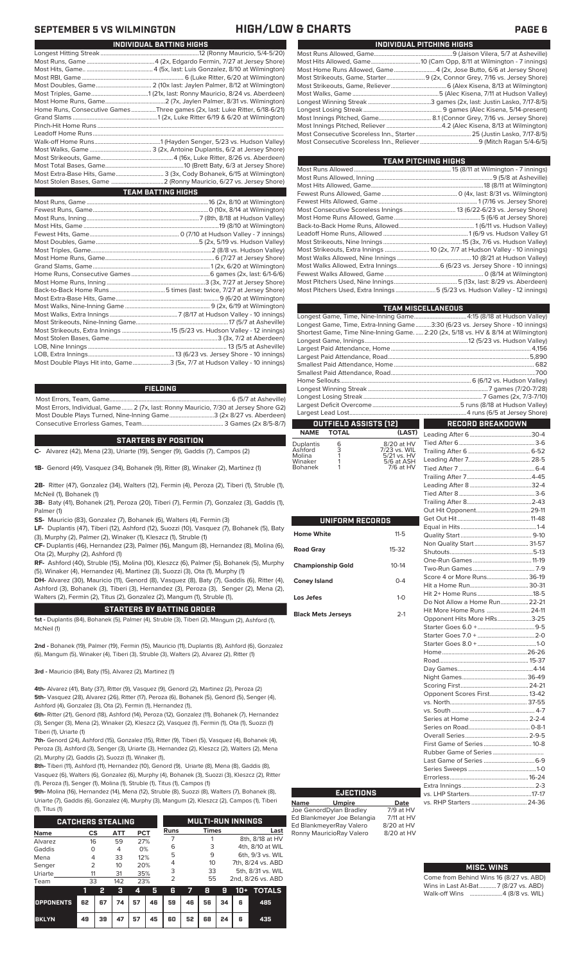### **SEPTEMBER 5 VS WILMINGTON HIGH/LOW & CHARTS PAGE 6**

| INDIVIDUAL PITCHING HIGHS                                                 |
|---------------------------------------------------------------------------|
|                                                                           |
|                                                                           |
| Most Home Runs Allowed, Game4 (2x, Jose Butto, 6/6 at Jersey Shore)       |
| Most Strikeouts, Game, Starter 9 (2x, Connor Grey, 7/16 vs. Jersey Shore) |
|                                                                           |
|                                                                           |
|                                                                           |
|                                                                           |
|                                                                           |
|                                                                           |
|                                                                           |
|                                                                           |

| TEAM PITCHING HIGHS                                                       |  |
|---------------------------------------------------------------------------|--|
|                                                                           |  |
|                                                                           |  |
|                                                                           |  |
|                                                                           |  |
|                                                                           |  |
|                                                                           |  |
|                                                                           |  |
|                                                                           |  |
|                                                                           |  |
|                                                                           |  |
|                                                                           |  |
|                                                                           |  |
| Most Walks Allowed, Extra Innings 6 (6/23 vs. Jersey Shore - 10 innings)  |  |
|                                                                           |  |
|                                                                           |  |
| Most Pitchers Used, Extra Innings 5 (5/23 vs. Hudson Valley - 12 innings) |  |
|                                                                           |  |

|                                                                                    | <b>TEAM MISCELLANEOUS</b>                                          |
|------------------------------------------------------------------------------------|--------------------------------------------------------------------|
| Longest Game, Time, Nine-Inning Game 4:15 (8/18 at Hudson Valley)                  |                                                                    |
| Longest Game, Time, Extra-Inning Game3:30 (6/23 vs. Jersey Shore - 10 innings)     |                                                                    |
| Shortest Game, Time Nine-Inning Game.  2:20 (2x, 5/18 vs. HV & 8/14 at Wilmington) |                                                                    |
|                                                                                    |                                                                    |
|                                                                                    |                                                                    |
|                                                                                    |                                                                    |
|                                                                                    |                                                                    |
|                                                                                    |                                                                    |
|                                                                                    |                                                                    |
|                                                                                    |                                                                    |
|                                                                                    |                                                                    |
|                                                                                    |                                                                    |
|                                                                                    |                                                                    |
| OUTFIELD ASSISTS (12)                                                              | $\mathcal{L}^{\text{max}}_{\text{max}}$<br><b>RECORD BREAKDOWN</b> |

### **OUTFIELD ASSISTS (12) TOTAL**

| Duplantis<br>Ashford<br>Molina | 6<br>3 | 8/20 at HV<br>7/23 vs. WIL<br>5/21 vs. HV |
|--------------------------------|--------|-------------------------------------------|
| Winaker                        |        | 5/6 at ASH                                |
| <b>Bohanek</b>                 |        | 7/6 at HV                                 |

| UNIFORM RECORDS           |              |  |  |  |
|---------------------------|--------------|--|--|--|
| Home White                | $11 - 5$     |  |  |  |
| <b>Road Gray</b>          | $15-32$      |  |  |  |
| <b>Championship Gold</b>  | $10 - 14$    |  |  |  |
| <b>Coney Island</b>       | $0 - 4$      |  |  |  |
| Los Jefes                 | $1 - \Omega$ |  |  |  |
| <b>Black Mets Jerseys</b> | $2 - 1$      |  |  |  |

| (LAST)           |                               |  |
|------------------|-------------------------------|--|
| at HV            |                               |  |
| vs. WIL          |                               |  |
| vs. HV<br>at ASH |                               |  |
| at HV            |                               |  |
|                  |                               |  |
|                  |                               |  |
|                  |                               |  |
|                  |                               |  |
|                  |                               |  |
|                  |                               |  |
|                  |                               |  |
| $1 - 5$          |                               |  |
|                  |                               |  |
| $-32$            |                               |  |
|                  |                               |  |
| $-14$            |                               |  |
|                  | Score 4 or More Runs 36-19    |  |
| $0 - 4$          |                               |  |
|                  |                               |  |
| $1 - 0$          | Do Not Allow a Home Run 22-21 |  |
| $2 - 1$          | Hit More Home Runs  24-11     |  |
|                  | Opponent Hits More HRs3-25    |  |
|                  |                               |  |
|                  |                               |  |
|                  |                               |  |
|                  |                               |  |
|                  |                               |  |
|                  |                               |  |
|                  |                               |  |
|                  |                               |  |
|                  | Opponent Scores First 13-42   |  |
|                  |                               |  |
|                  |                               |  |
|                  |                               |  |
|                  |                               |  |
|                  |                               |  |
|                  |                               |  |
|                  |                               |  |
|                  |                               |  |
|                  |                               |  |
|                  |                               |  |
|                  |                               |  |
|                  |                               |  |
| <b>Date</b>      | vs. RHP Starters  24-36       |  |
| at HV            |                               |  |

### **MISC. WINS**

| Come from Behind Wins 16 (8/27 vs. ABD) |
|-----------------------------------------|
| Wins in Last At-Bat7 (8/27 vs. ABD)     |
|                                         |

| INDIVIDUAL BATTING HIGHS                                                    |
|-----------------------------------------------------------------------------|
|                                                                             |
|                                                                             |
|                                                                             |
|                                                                             |
|                                                                             |
|                                                                             |
|                                                                             |
| Home Runs, Consecutive Games Three games (2x, last: Luke Ritter, 6/18-6/21) |
|                                                                             |
|                                                                             |
|                                                                             |
|                                                                             |
|                                                                             |
|                                                                             |
|                                                                             |
| Most Extra-Base Hits, Game 3 (3x, Cody Bohanek, 6/15 at Wilmington)         |
|                                                                             |
| <b>TEAM BATTING HIGHS</b>                                                   |
|                                                                             |
|                                                                             |
|                                                                             |
|                                                                             |
|                                                                             |
|                                                                             |
|                                                                             |
|                                                                             |
|                                                                             |
|                                                                             |
|                                                                             |
|                                                                             |
|                                                                             |
|                                                                             |
|                                                                             |
|                                                                             |
|                                                                             |
|                                                                             |
|                                                                             |

LOB, Extra Innings........................................................13 (6/23 vs. Jersey Shore - 10 innings) .3 (5x, 7/7 at Hudson Valley - 10 innings)

### **FIELDING**

Most Errors, Team, Game...............................................................................6 (5/7 at Asheville) Most Errors, Individual, Game....... 2 (7x, last: Ronny Mauricio, 7/30 at Jersey Shore G2) Most Double Plays Turned, Nine-Inning Game.............................3 (2x 8/27 vs. Aberdeen) Consecutive Errorless Games, Team...

### **STARTERS BY POSITION**

**C-** Alvarez (42), Mena (23), Uriarte (19), Senger (9), Gaddis (7), Campos (2)

**1B-** Genord (49), Vasquez (34), Bohanek (9), Ritter (8), Winaker (2), Martinez (1)

**2B-** Ritter (47), Gonzalez (34), Walters (12), Fermin (4), Peroza (2), Tiberi (1), Struble (1), McNeil (1), Bohanek (1)

**3B-** Baty (41), Bohanek (21), Peroza (20), Tiberi (7), Fermin (7), Gonzalez (3), Gaddis (1), Palmer (1)

**SS-** Mauricio (83), Gonzalez (7), Bohanek (6), Walters (4), Fermin (3)

**LF-** Duplantis (47), Tiberi (12), Ashford (12), Suozzi (10), Vasquez (7), Bohanek (5), Baty (3), Murphy (2), Palmer (2), Winaker (1), Kleszcz (1), Struble (1)

**CF-** Duplantis (46), Hernandez (23), Palmer (16), Mangum (8), Hernandez (8), Molina (6), Ota (2), Murphy (2), Ashford (1)

**RF-** Ashford (40), Struble (15), Molina (10), Kleszcz (6), Palmer (5), Bohanek (5), Murphy (5), Winaker (4), Hernandez (4), Martinez (3), Suozzi (3), Ota (1), Murphy (1)

**DH-** Alvarez (30), Mauricio (11), Genord (8), Vasquez (8), Baty (7), Gaddis (6), Ritter (4), Ashford (3), Bohanek (3), Tiberi (3), Hernandez (3), Peroza (3), Senger (2), Mena (2), Walters (2), Fermin (2), Titus (2), Gonzalez (2), Mangum (1), Struble (1),

### **STARTERS BY BATTING ORDER**

**1st -** Duplantis (84), Bohanek (5), Palmer (4), Struble (3), Tiberi (2), Mangum (2), Ashford (1), McNeil (1)

**2nd -** Bohanek (19), Palmer (19), Fermin (15), Mauricio (11), Duplantis (8), Ashford (6), Gonzalez (6), Mangum (5), Winaker (4), Tiberi (3), Struble (3), Walters (2), Alvarez (2), Ritter (1)

**3rd -** Mauricio (84), Baty (15), Alvarez (2), Martinez (1)

**4th-** Alvarez (41), Baty (37), Ritter (9), Vasquez (9), Genord (2), Martinez (2), Peroza (2) **5th-** Vasquez (28), Alvarez (26), Ritter (17), Peroza (6), Bohanek (5), Genord (5), Senger (4), Ashford (4), Gonzalez (3), Ota (2), Fermin (1), Hernandez (1),

**6th-** Ritter (21), Genord (18), Ashford (14), Peroza (12), Gonzalez (11), Bohanek (7), Hernandez (3), Senger (3), Mena (2), Winaker (2), Kleszcz (2), Vasquez (1), Fermin (1), Ota (1), Suozzi (1) Tiberi (1), Uriarte (1)

**7th-** Genord (24), Ashford (15), Gonzalez (15), Ritter (9), Tiberi (5), Vasquez (4), Bohanek (4), Peroza (3), Ashford (3), Senger (3), Uriarte (3), Hernandez (2), Kleszcz (2), Walters (2), Mena (2), Murphy (2), Gaddis (2), Suozzi (1), Winaker (1),

**8th-** Tiberi (11), Ashford (11), Hernandez (10), Genord (9), Uriarte (8), Mena (8), Gaddis (8), Vasquez (6), Walters (6), Gonzalez (6), Murphy (4), Bohanek (3), Suozzi (3), Kleszcz (2), Ritter (1), Peroza (1), Senger (1), Molina (1), Struble (1), Titus (1), Campos (1)

**9th-** Molina (16), Hernandez (14), Mena (12), Struble (8), Suozzi (8), Walters (7), Bohanek (8), Uriarte (7), Gaddis (6), Gonzalez (4), Murphy (3), Mangum (2), Kleszcz (2), Campos (1), Tiberi  $(1)$ , Titus

| 11, 110311               |               |    |            |     |    |      |                          |              |    |                  |                   |  |  |
|--------------------------|---------------|----|------------|-----|----|------|--------------------------|--------------|----|------------------|-------------------|--|--|
| <b>CATCHERS STEALING</b> |               |    |            |     |    |      | <b>MULTI-RUN INNINGS</b> |              |    |                  |                   |  |  |
| <b>Name</b>              | <b>CS</b>     |    | <b>ATT</b> | PCT |    | Runs |                          | <b>Times</b> |    |                  | Last              |  |  |
| Alvarez                  | 16            |    | 59         | 27% |    |      |                          |              |    |                  | 8th, 8/18 at HV   |  |  |
| Gaddis                   | O             |    | 0%<br>4    |     |    | 6    |                          | 3            |    | 4th, 8/10 at WIL |                   |  |  |
| Mena                     | 4             |    | 12%<br>33  |     |    | 5    |                          | 9            |    |                  | 6th, 9/3 vs. WIL  |  |  |
| Senger                   | $\mathcal{P}$ |    | 10<br>20%  |     |    | 4    |                          | 10           |    |                  | 7th, 8/24 vs. ABD |  |  |
| Uriarte                  | 11            |    | 31         | 35% |    | 3    |                          | 33           |    |                  | 5th, 8/31 vs. WIL |  |  |
| Team                     | 33            |    | 142        | 23% |    | 2    |                          | 55           |    |                  | 2nd, 8/26 vs. ABD |  |  |
|                          | 11            | 2  | B          | 4   | 5  | 6    | 7                        | 8            | 9  | $10+$            | <b>TOTALS</b>     |  |  |
| <b>OPPONENTS</b>         | 62            | 67 | 74         | 57  | 46 | 59   | 46                       | 56           | 34 | 6                | 485               |  |  |

**BKLYN 49 39 47 57 45 60 52 68 24 6 435**

**Name Umpire Date** Joe GenordDylan Bradley 7/9 at HV Ed Blankmeyer Joe Belangia 7/11 at HV Ed BlankmeyerRay Valero 8/20 at HV<br>Ronny MauricioRay Valero 8/20 at HV Ronny MauricioRay Valero **EJECTIONS**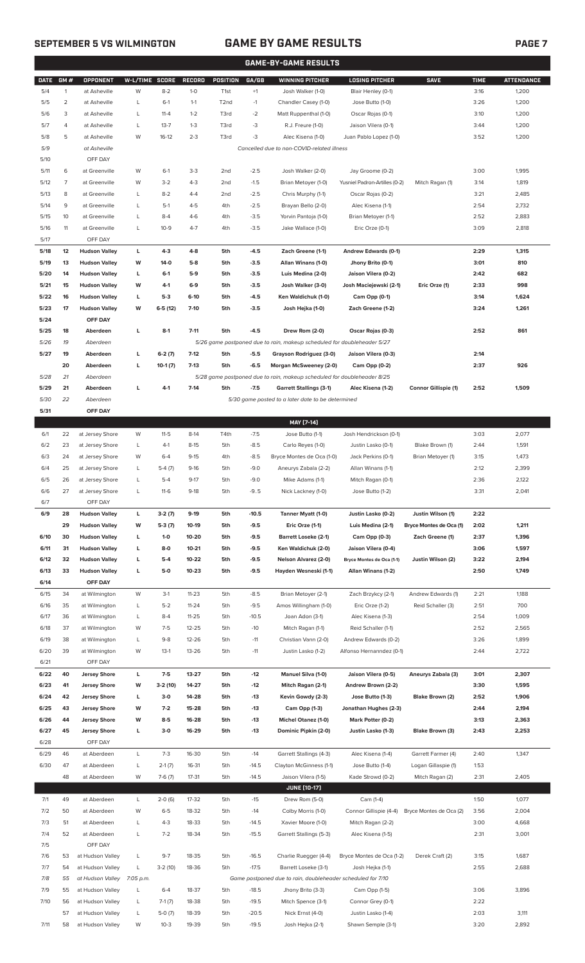## **SEPTEMBER 5 VS WILMINGTON GAME BY GAME RESULTS PAGE 7**

|             | <b>GAME-BY-GAME RESULTS</b> |                      |                |                      |               |                   |         |                                                                         |                                            |                                              |             |                   |
|-------------|-----------------------------|----------------------|----------------|----------------------|---------------|-------------------|---------|-------------------------------------------------------------------------|--------------------------------------------|----------------------------------------------|-------------|-------------------|
| <b>DATE</b> | GM#                         | <b>OPPONENT</b>      | W-L/TIME SCORE |                      | <b>RECORD</b> | <b>POSITION</b>   | GA/GB   | <b>WINNING PITCHER</b>                                                  | <b>LOSING PITCHER</b>                      | <b>SAVE</b>                                  | <b>TIME</b> | <b>ATTENDANCE</b> |
| 5/4         | $\mathbf{1}$                | at Asheville         | W              | $8 - 2$              | $1 - 0$       | T <sub>1st</sub>  | $+1$    | Josh Walker (1-0)                                                       | Blair Henley (0-1)                         |                                              | 3:16        | 1,200             |
| 5/5         | $\overline{2}$              | at Asheville         | L              | $6-1$                | $1 - 1$       | T <sub>2</sub> nd | $-1$    | Chandler Casey (1-0)                                                    | Jose Butto (1-0)                           |                                              | 3:26        | 1,200             |
| 5/6         | 3                           | at Asheville         | L              | $11 - 4$             | $1 - 2$       | T3rd              | $-2$    | Matt Ruppenthal (1-0)                                                   | Oscar Rojas (0-1)                          |                                              | 3:10        | 1,200             |
| 5/7         | 4                           | at Asheville         | L              | $13 - 7$             | $1 - 3$       | T3rd              | -3      | R.J. Freure (1-0)                                                       | Jaison Vilera (0-1)                        |                                              | 3:44        | 1,200             |
| 5/8         | 5                           | at Asheville         | W              | $16-12$              | $2 - 3$       | T3rd              | $-3$    | Alec Kisena (1-0)                                                       | Juan Pablo Lopez (1-0)                     |                                              | 3:52        | 1,200             |
| 5/9         |                             | at Asheville         |                |                      |               |                   |         | Cancelled due to non-COVID-related illness                              |                                            |                                              |             |                   |
| 5/10        |                             | OFF DAY              |                |                      |               |                   |         |                                                                         |                                            |                                              |             |                   |
| 5/11        | 6                           | at Greenville        | W              | $6-1$                | $3-3$         | 2 <sub>nd</sub>   | $-2.5$  | Josh Walker (2-0)                                                       | Jay Groome (0-2)                           |                                              | 3:00        | 1,995             |
| 5/12        | 7                           | at Greenville        | W              | $3 - 2$              | $4 - 3$       | 2 <sub>nd</sub>   | $-1.5$  | Brian Metoyer (1-0)                                                     | Yusniel Padron-Artilles (0-2)              | Mitch Ragan (1)                              | 3:14        | 1,819             |
| 5/13        | 8                           | at Greenville        | L              | $8 - 2$              | $4 - 4$       | 2 <sub>nd</sub>   | $-2.5$  | Chris Murphy (1-1)                                                      | Oscar Rojas (0-2)                          |                                              | 3:21        | 2,485             |
| 5/14        | 9                           | at Greenville        | L              | $5-1$                | $4 - 5$       | 4th               | $-2.5$  | Brayan Bello (2-0)                                                      | Alec Kisena (1-1)                          |                                              | 2:54        | 2,732             |
| 5/15        | 10                          | at Greenville        | L              | $8 - 4$              | $4-6$         | 4th               | $-3.5$  | Yorvin Pantoja (1-0)                                                    | Brian Metoyer (1-1)                        |                                              | 2:52        | 2,883             |
| 5/16        | 11                          | at Greenville        | L              | $10-9$               | $4 - 7$       | 4th               | $-3.5$  | Jake Wallace (1-0)                                                      | Eric Orze (0-1)                            |                                              | 3:09        | 2,818             |
| 5/17        |                             | OFF DAY              |                |                      |               |                   |         |                                                                         |                                            |                                              |             |                   |
| 5/18        | 12                          | <b>Hudson Valley</b> | L              | $4-3$                | $4-8$         | 5th               | $-4.5$  | Zach Greene (1-1)                                                       | Andrew Edwards (0-1)                       |                                              | 2:29        | 1,315             |
| 5/19        | 13                          | <b>Hudson Valley</b> | W              | 14-0                 | $5-8$         | 5th               | $-3.5$  | Allan Winans (1-0)                                                      | Jhony Brito (0-1)                          |                                              | 3:01        | 810               |
| 5/20        | 14                          | <b>Hudson Valley</b> | г              | $6-1$                | $5-9$         | 5th               | $-3.5$  | Luis Medina (2-0)                                                       | Jaison Vilera (0-2)                        |                                              | 2:42        | 682               |
| 5/21        | 15                          | <b>Hudson Valley</b> | W              | $4-1$                | $6-9$         | 5th               | $-3.5$  | Josh Walker (3-0)                                                       | Josh Maciejewski (2-1)                     | Eric Orze (1)                                | 2:33        | 998               |
| 5/22        | 16                          | <b>Hudson Valley</b> | г              | $5-3$                | $6-10$        | 5th               | $-4.5$  | Ken Waldichuk (1-0)                                                     | Cam Opp (0-1)                              |                                              | 3:14        | 1,624             |
| 5/23        | 17                          | <b>Hudson Valley</b> | W              | $6-5(12)$            | $7-10$        | 5th               | $-3.5$  | Josh Hejka (1-0)                                                        | Zach Greene (1-2)                          |                                              | 3:24        | 1,261             |
| 5/24        |                             | OFF DAY              |                |                      |               |                   |         |                                                                         |                                            |                                              |             |                   |
| 5/25        | 18                          | Aberdeen             | L              | $8-1$                | $7 - 11$      | 5th               | $-4.5$  | Drew Rom (2-0)                                                          | Oscar Rojas (0-3)                          |                                              | 2:52        | 861               |
| 5/26        | 19                          | Aberdeen             |                |                      |               |                   |         | 5/26 game postponed due to rain, makeup scheduled for doubleheader 5/27 |                                            |                                              |             |                   |
| 5/27        | 19                          | Aberdeen             | г              | $6-2(7)$             | $7-12$        | 5th               | $-5.5$  | Grayson Rodriguez (3-0)                                                 | Jaison Vilera (0-3)                        |                                              | 2:14        |                   |
|             | 20                          | Aberdeen             | г              | $10-1(7)$            | $7-13$        | 5th               | $-6.5$  | Morgan McSweeney (2-0)                                                  | Cam Opp (0-2)                              |                                              | 2:37        | 926               |
| 5/28        | 21                          | Aberdeen             |                |                      |               |                   |         | 5/28 game postponed due to rain, makeup scheduled for doubleheader 8/25 |                                            |                                              |             |                   |
| 5/29        | 21                          | Aberdeen             | L              | $4-1$                | $7-14$        | 5th               | $-7.5$  | <b>Garrett Stallings (3-1)</b>                                          | Alec Kisena (1-2)                          | <b>Connor Gillispie (1)</b>                  | 2:52        | 1,509             |
| 5/30        | 22                          | Aberdeen             |                |                      |               |                   |         | 5/30 game posted to a later date to be determined                       |                                            |                                              |             |                   |
| 5/31        |                             | OFF DAY              |                |                      |               |                   |         |                                                                         |                                            |                                              |             |                   |
|             |                             |                      |                |                      |               |                   |         | MAY [7-14]                                                              |                                            |                                              |             |                   |
| 6/1         | 22                          | at Jersey Shore      | W              | $11 - 5$             | $8-14$        | T4th              | $-7.5$  | Jose Butto (1-1)                                                        | Josh Hendrickson (0-1)                     |                                              | 3:03        | 2,077             |
| 6/2         | 23                          | at Jersey Shore      | L              | $4-1$                | $8 - 15$      | 5th               | $-8.5$  | Carlo Reyes (1-0)                                                       | Justin Lasko (0-1)                         | Blake Brown (1)                              | 2:44        | 1,591             |
| 6/3         | 24                          | at Jersey Shore      | W              | $6 - 4$              | $9 - 15$      | 4th               | $-8.5$  | Bryce Montes de Oca (1-0)                                               | Jack Perkins (0-1)                         | Brian Metoyer (1)                            | 3:15        | 1,473             |
| 6/4         | 25                          | at Jersey Shore      | L              | $5-4(7)$             | $9-16$        | 5th               | $-9.0$  | Aneurys Zabala (2-2)                                                    | Allan Winans (1-1)                         |                                              | 2:12        | 2,399             |
| 6/5         | 26                          | at Jersey Shore      | L              | $5 - 4$              | $9 - 17$      | 5th               | $-9.0$  | Mike Adams (1-1)                                                        | Mitch Ragan (0-1)                          |                                              | 2:36        | 2,122             |
| 6/6         | 27                          | at Jersey Shore      | L              | $11-6$               | $9-18$        | 5th               | $-9.5$  | Nick Lackney (1-0)                                                      | Jose Butto (1-2)                           |                                              | 3:31        | 2,041             |
| 6/7         |                             | OFF DAY              |                |                      |               |                   |         |                                                                         |                                            |                                              |             |                   |
| 6/9         | 28                          | <b>Hudson Valley</b> | L              |                      | $9-19$        | 5th               | $-10.5$ | Tanner Myatt (1-0)                                                      |                                            |                                              | 2:22        |                   |
|             | 29                          | <b>Hudson Valley</b> | W              | $3-2(7)$<br>$5-3(7)$ | 10-19         | 5th               | $-9.5$  | Eric Orze (1-1)                                                         | Justin Lasko (0-2)<br>Luis Medina (2-1)    | Justin Wilson (1)<br>Bryce Montes de Oca (1) | 2:02        | 1,211             |
| 6/10        | 30                          | <b>Hudson Valley</b> | L              | $1 - 0$              | 10-20         | 5th               | $-9.5$  | <b>Barrett Loseke (2-1)</b>                                             | Cam Opp (0-3)                              | Zach Greene (1)                              | 2:37        | 1,396             |
| 6/11        | 31                          | <b>Hudson Valley</b> | г              | $8-0$                | $10 - 21$     | 5th               | $-9.5$  | Ken Waldichuk (2-0)                                                     | Jaison Vilera (0-4)                        |                                              | 3:06        | 1,597             |
| 6/12        | 32                          | <b>Hudson Valley</b> | L              | $5-4$                | 10-22         | 5th               | $-9.5$  | Nelson Alvarez (2-0)                                                    | Bryce Montes de Oca (1-1)                  | Justin Wilson (2)                            | 3:22        | 2,194             |
| 6/13        | 33                          | <b>Hudson Valley</b> | L              | $5-0$                | $10 - 23$     | 5th               | $-9.5$  | Hayden Wesneski (1-1)                                                   | Allan Winans (1-2)                         |                                              | 2:50        | 1,749             |
| 6/14        |                             | OFF DAY              |                |                      |               |                   |         |                                                                         |                                            |                                              |             |                   |
| 6/15        | 34                          | at Wilmington        | W              | $3-1$                | $11 - 23$     | 5th               | $-8.5$  | Brian Metoyer (2-1)                                                     | Zach Brzykcy (2-1)                         | Andrew Edwards (1)                           | 2:21        | 1,188             |
| 6/16        | 35                          | at Wilmington        | L              | $5 - 2$              | $11 - 24$     | 5th               | $-9.5$  | Amos Willingham (1-0)                                                   | Eric Orze (1-2)                            | Reid Schaller (3)                            | 2:51        | 700               |
| 6/17        | 36                          | at Wilmington        | L              | $8 - 4$              | $11 - 25$     | 5th               | $-10.5$ | Joan Adon (3-1)                                                         | Alec Kisena (1-3)                          |                                              | 2:54        | 1,009             |
| 6/18        | 37                          | at Wilmington        | W              | $7-5$                | 12-25         | 5th               | $-10$   | Mitch Ragan (1-1)                                                       | Reid Schaller (1-1)                        |                                              | 2:52        | 2,565             |
| 6/19        | 38                          | at Wilmington        | L              | $9 - 8$              | 12-26         | 5th               | $-11$   | Christian Vann (2-0)                                                    | Andrew Edwards (0-2)                       |                                              | 3:26        | 1,899             |
| 6/20        | 39                          | at Wilmington        | W              | $13-1$               | 13-26         | 5th               | $-11$   | Justin Lasko (1-2)                                                      | Alfonso Hernanndez (0-1)                   |                                              | 2:44        | 2,722             |
| 6/21        |                             | OFF DAY              |                |                      |               |                   |         |                                                                         |                                            |                                              |             |                   |
| 6/22        | 40                          | <b>Jersey Shore</b>  | L              | $7-5$                | 13-27         | 5th               | $-12$   | Manuel Silva (1-0)                                                      | Jaison Vilera (0-5)                        | Aneurys Zabala (3)                           | 3:01        | 2,307             |
| 6/23        | 41                          | <b>Jersey Shore</b>  | W              | $3-2(10)$            | 14-27         | 5th               | $-12$   | Mitch Ragan (2-1)                                                       | Andrew Brown (2-2)                         |                                              | 3:30        | 1,595             |
| 6/24        | 42                          | <b>Jersey Shore</b>  | L              | $3-0$                | 14-28         | 5th               | $-13$   | Kevin Gowdy (2-3)                                                       | Jose Butto (1-3)                           | Blake Brown (2)                              | 2:52        | 1,906             |
| 6/25        | 43                          | <b>Jersey Shore</b>  | W              | $7-2$                | 15-28         | 5th               | $-13$   |                                                                         |                                            |                                              | 2:44        | 2,194             |
|             | 44                          | <b>Jersey Shore</b>  | W              | $8-5$                | 16-28         | 5th               | -13     | Cam Opp (1-3)<br><b>Michel Otanez (1-0)</b>                             | Jonathan Hughes (2-3)<br>Mark Potter (0-2) |                                              | 3:13        |                   |
| 6/26        |                             |                      |                |                      |               |                   |         |                                                                         |                                            |                                              |             | 2,363             |
| 6/27        | 45                          | <b>Jersey Shore</b>  | L              | $3-0$                | 16-29         | 5th               | -13     | Dominic Pipkin (2-0)                                                    | Justin Lasko (1-3)                         | Blake Brown (3)                              | 2:43        | 2,253             |
| 6/28        |                             | OFF DAY              |                |                      |               |                   |         |                                                                         |                                            |                                              |             |                   |
| 6/29        | 46                          | at Aberdeen          | L              | $7-3$                | 16-30         | 5th               | $-14$   | Garrett Stallings (4-3)                                                 | Alec Kisena (1-4)                          | Garrett Farmer (4)                           | 2:40        | 1,347             |
| 6/30        | 47                          | at Aberdeen          | L              | $2-1(7)$             | 16-31         | 5th               | $-14.5$ | Clayton McGinness (1-1)                                                 | Jose Butto (1-4)                           | Logan Gillaspie (1)                          | 1:53        |                   |
|             | 48                          | at Aberdeen          | W              | $7-6(7)$             | 17-31         | 5th               | $-14.5$ | Jaison Vilera (1-5)                                                     | Kade Strowd (0-2)                          | Mitch Ragan (2)                              | 2:31        | 2,405             |
|             |                             |                      |                |                      |               |                   |         | <b>JUNE [10-17]</b>                                                     |                                            |                                              |             |                   |
| 7/1         | 49                          | at Aberdeen          | L              | $2-0(6)$             | 17-32         | 5th               | $-15$   | Drew Rom (5-0)                                                          | Cam (1-4)                                  |                                              | 1:50        | 1,077             |
| 7/2         | 50                          | at Aberdeen          | W              | $6 - 5$              | 18-32         | 5th               | $-14$   | Colby Morris (1-0)                                                      | Connor Gillispie (4-4)                     | Bryce Montes de Oca (2)                      | 3:56        | 2,004             |
| 7/3         | 51                          | at Aberdeen          | L              | $4 - 3$              | 18-33         | 5th               | $-14.5$ | Xavier Moore (1-0)                                                      | Mitch Ragan (2-2)                          |                                              | 3:00        | 4,668             |
| 7/4         | 52                          | at Aberdeen          | L              | $7 - 2$              | 18-34         | 5th               | $-15.5$ | Garrett Stallings (5-3)                                                 | Alec Kisena (1-5)                          |                                              | 2:31        | 3,001             |
| 7/5         |                             | OFF DAY              |                |                      |               |                   |         |                                                                         |                                            |                                              |             |                   |
| 7/6         | 53                          | at Hudson Valley     | L              | $9 - 7$              | 18-35         | 5th               | $-16.5$ | Charlie Ruegger (4-4)                                                   | Bryce Montes de Oca (1-2)                  | Derek Craft (2)                              | 3:15        | 1,687             |
| 7/7         | 54                          | at Hudson Valley     | L              | $3-2(10)$            | 18-36         | 5th               | $-17.5$ | Barrett Loseke (3-1)                                                    | Josh Hejka (1-1)                           |                                              | 2:55        | 2,688             |
| 7/8         | 55                          | at Hudson Valley     | 7:05 p.m.      |                      |               |                   |         | Game postponed due to rain, doubleheader scheduled for 7/10             |                                            |                                              |             |                   |
| 7/9         | 55                          | at Hudson Valley     | L              | $6 - 4$              | 18-37         | 5th               | $-18.5$ | Jhony Brito (3-3)                                                       | Cam Opp (1-5)                              |                                              | 3:06        | 3,896             |
| 7/10        | 56                          | at Hudson Valley     | L              | $7-1(7)$             | 18-38         | 5th               | $-19.5$ | Mitch Spence (3-1)                                                      | Connor Grey (0-1)                          |                                              | 2:22        |                   |
|             | 57                          | at Hudson Valley     |                | $5-0(7)$             | 18-39         | 5th               | $-20.5$ | Nick Ernst (4-0)                                                        | Justin Lasko (1-4)                         |                                              | 2:03        | 3,111             |

7/11 58 at Hudson Valley W 10-3 19-39 5th -19.5 Josh Hejka (2-1) Shawn Semple (3-1) 3:20 2,892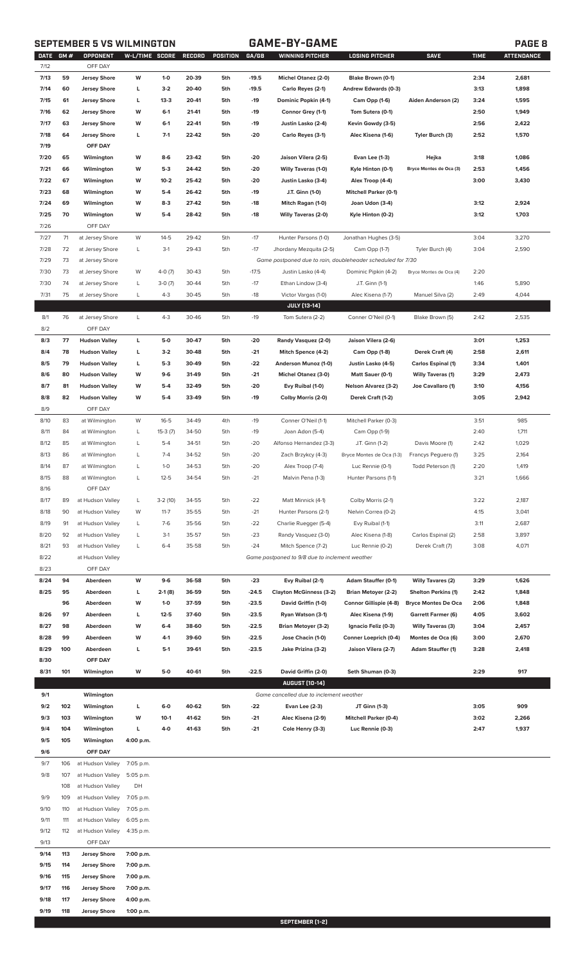# **SEPTEMBER 5 VS WILMINGTON GAME-BY-GAME PAGE 8**

| <b>DATE</b> | <b>GM#</b> | OPPONENT             | W-L/TIME SCORE |           | RECORD | POSITION | GA/GB   | <b>WINNING PITCHER</b>                                      | <b>LOSING PITCHER</b>        | <b>SAVE</b>                | <b>TIME</b> | <b>ATTENDANCE</b> |
|-------------|------------|----------------------|----------------|-----------|--------|----------|---------|-------------------------------------------------------------|------------------------------|----------------------------|-------------|-------------------|
| 7/12        |            | OFF DAY              |                |           |        |          |         |                                                             |                              |                            |             |                   |
| 7/13        | 59         | <b>Jersey Shore</b>  | W              | $1 - 0$   | 20-39  | 5th      | $-19.5$ | Michel Otanez (2-0)                                         | Blake Brown (0-1)            |                            | 2:34        | 2,681             |
| 7/14        | 60         | <b>Jersey Shore</b>  | L              | $3-2$     | 20-40  | 5th      | $-19.5$ | Carlo Reyes (2-1)                                           | Andrew Edwards (0-3)         |                            | 3:13        | 1,898             |
| 7/15        | 61         | <b>Jersey Shore</b>  | L              | $13-3$    | 20-41  | 5th      | $-19$   | Dominic Popkin (4-1)                                        | Cam Opp (1-6)                | Aiden Anderson (2)         | 3:24        | 1,595             |
| 7/16        | 62         | <b>Jersey Shore</b>  | W              | $6-1$     | 21-41  | 5th      | -19     | Connor Grey (1-1)                                           | Tom Sutera (0-1)             |                            | 2:50        | 1,949             |
| 7/17        | 63         | <b>Jersey Shore</b>  | W              | $6-1$     | 22-41  | 5th      | $-19$   | Justin Lasko (2-4)                                          | Kevin Gowdy (3-5)            |                            | 2:56        | 2,422             |
| 7/18        | 64         | <b>Jersey Shore</b>  | L              | $7-1$     | 22-42  | 5th      | -20     | Carlo Reyes (3-1)                                           | Alec Kisena (1-6)            | Tyler Burch (3)            | 2:52        | 1,570             |
| 7/19        |            | OFF DAY              |                |           |        |          |         |                                                             |                              |                            |             |                   |
| 7/20        | 65         | Wilmington           | W              | $8-6$     | 23-42  | 5th      | -20     | Jaison Vilera (2-5)                                         | Evan Lee (1-3)               | Hejka                      | 3:18        | 1,086             |
| 7/21        | 66         | Wilmington           | W              | $5-3$     | 24-42  | 5th      | -20     | <b>Willy Taveras (1-0)</b>                                  | Kyle Hinton (0-1)            | Bryce Montes de Oca (3)    | 2:53        | 1,456             |
| 7/22        | 67         | Wilmington           | W              | $10 - 2$  | 25-42  | 5th      | -20     | Justin Lasko (3-4)                                          | Alex Troop (4-4)             |                            | 3:00        | 3,430             |
| 7/23        | 68         | Wilmington           | W              | $5-4$     | 26-42  | 5th      | -19     | J.T. Ginn (1-0)                                             | <b>Mitchell Parker (0-1)</b> |                            |             |                   |
| 7/24        | 69         |                      | W              | $8-3$     | 27-42  | 5th      |         |                                                             |                              |                            | 3:12        |                   |
|             |            | Wilmington           |                |           |        |          | -18     | Mitch Ragan (1-0)                                           | Joan Udon (3-4)              |                            |             | 2,924             |
| 7/25        | 70         | Wilmington           | W              | $5-4$     | 28-42  | 5th      | $-18$   | <b>Willy Taveras (2-0)</b>                                  | Kyle Hinton (0-2)            |                            | 3:12        | 1,703             |
| 7/26        |            | OFF DAY              |                |           |        |          |         |                                                             |                              |                            |             |                   |
| 7/27        | 71         | at Jersey Shore      | W              | $14 - 5$  | 29-42  | 5th      | $-17$   | Hunter Parsons (1-0)                                        | Jonathan Hughes (3-5)        |                            | 3:04        | 3,270             |
| 7/28        | 72         | at Jersey Shore      | L              | $3-1$     | 29-43  | 5th      | $-17$   | Jhordany Mezquita (2-5)                                     | Cam Opp (1-7)                | Tyler Burch (4)            | 3:04        | 2,590             |
| 7/29        | 73         | at Jersey Shore      |                |           |        |          |         | Game postponed due to rain, doubleheader scheduled for 7/30 |                              |                            |             |                   |
| 7/30        | 73         | at Jersey Shore      | W              | $4-0(7)$  | 30-43  | 5th      | $-17.5$ | Justin Lasko (4-4)                                          | Dominic Pipkin (4-2)         | Bryce Montes de Oca (4)    | 2:20        |                   |
| 7/30        | 74         | at Jersey Shore      | L              | $3-0(7)$  | 30-44  | 5th      | $-17$   | Ethan Lindow (3-4)                                          | J.T. Ginn (1-1)              |                            | 1:46        | 5,890             |
| 7/31        | 75         | at Jersey Shore      | L              | $4 - 3$   | 30-45  | 5th      | $-18$   | Victor Vargas (1-0)                                         | Alec Kisena (1-7)            | Manuel Silva (2)           | 2:49        | 4,044             |
|             |            |                      |                |           |        |          |         | <b>JULY [13-14]</b>                                         |                              |                            |             |                   |
| 8/1         | 76         | at Jersey Shore      | L              | $4 - 3$   | 30-46  | 5th      | $-19$   | Tom Sutera (2-2)                                            | Conner O'Neil (0-1)          | Blake Brown (5)            | 2:42        | 2,535             |
| 8/2         |            | OFF DAY              |                |           |        |          |         |                                                             |                              |                            |             |                   |
| 8/3         | 77         | <b>Hudson Valley</b> | L              | $5-0$     | 30-47  | 5th      | -20     | Randy Vasquez (2-0)                                         | Jaison Vilera (2-6)          |                            | 3:01        | 1,253             |
| 8/4         | 78         | <b>Hudson Valley</b> | L              | $3-2$     | 30-48  | 5th      | $-21$   | Mitch Spence (4-2)                                          | Cam Opp (1-8)                | Derek Craft (4)            | 2:58        | 2,611             |
| 8/5         | 79         | <b>Hudson Valley</b> | L              | $5-3$     | 30-49  | 5th      | $-22$   | Anderson Munoz (1-0)                                        | Justin Lasko (4-5)           | Carlos Espinal (1)         | 3:34        | 1,401             |
| 8/6         | 80         | <b>Hudson Valley</b> | W              | $9-6$     | 31-49  | 5th      | $-21$   | Michel Otanez (3-0)                                         | Matt Sauer (0-1)             | <b>Willy Taveras (1)</b>   | 3:29        | 2,473             |
|             |            |                      |                |           |        |          |         |                                                             |                              |                            |             |                   |
| 8/7         | 81         | <b>Hudson Valley</b> | W              | $5-4$     | 32-49  | 5th      | -20     | Evy Ruibal (1-0)                                            | <b>Nelson Alvarez (3-2)</b>  | Joe Cavallaro (1)          | 3:10        | 4,156             |
| 8/8         | 82         | <b>Hudson Valley</b> | W              | $5-4$     | 33-49  | 5th      | $-19$   | Colby Morris (2-0)                                          | Derek Craft (1-2)            |                            | 3:05        | 2,942             |
| 8/9         |            | OFF DAY              |                |           |        |          |         |                                                             |                              |                            |             |                   |
| 8/10        | 83         | at Wilmington        | W              | $16 - 5$  | 34-49  | 4th      | $-19$   | Conner O'Neil (1-1)                                         | Mitchell Parker (0-3)        |                            | 3:51        | 985               |
| 8/11        | 84         | at Wilmington        | L              | $15-3(7)$ | 34-50  | 5th      | $-19$   | Joan Adon (5-4)                                             | Cam Opp (1-9)                |                            | 2:40        | 1,711             |
| 8/12        | 85         | at Wilmington        | L              | $5-4$     | 34-51  | 5th      | $-20$   | Alfonso Hernandez (3-3)                                     | J.T. Ginn (1-2)              | Davis Moore (1)            | 2:42        | 1,029             |
| 8/13        | 86         | at Wilmington        | L              | $7 - 4$   | 34-52  | 5th      | $-20$   | Zach Brzykcy (4-3)                                          | Bryce Montes de Oca (1-3)    | Francys Peguero (1)        | 3:25        | 2,164             |
| 8/14        | 87         | at Wilmington        | L              | $1 - 0$   | 34-53  | 5th      | $-20$   | Alex Troop (7-4)                                            | Luc Rennie (0-1)             | Todd Peterson (1)          | 2:20        | 1,419             |
| 8/15        | 88         | at Wilmington        | Г              | $12 - 5$  | 34-54  | 5th      | $-21$   | Malvin Pena (1-3)                                           | Hunter Parsons (1-1)         |                            | 3:21        | 1,666             |
| 8/16        |            | OFF DAY              |                |           |        |          |         |                                                             |                              |                            |             |                   |
| 8/17        | 89         | at Hudson Valley     | L              | $3-2(10)$ | 34-55  | 5th      | $-22$   | Matt Minnick (4-1)                                          | Colby Morris (2-1)           |                            | 3:22        | 2,187             |
| 8/18        | 90         | at Hudson Valley     | W              | $11 - 7$  | 35-55  | 5th      | $-21$   | Hunter Parsons (2-1)                                        | Nelvin Correa (0-2)          |                            | 4:15        | 3,041             |
| 8/19        | 91         | at Hudson Valley     | L              | $7-6$     | 35-56  | 5th      | $-22$   | Charlie Ruegger (5-4)                                       | Evy Ruibal (1-1)             |                            | 3:11        | 2,687             |
| 8/20        | 92         | at Hudson Valley     | L              | $3-1$     | 35-57  | 5th      | $-23$   | Randy Vasquez (3-0)                                         | Alec Kisena (1-8)            | Carlos Espinal (2)         | 2:58        | 3,897             |
| 8/21        | 93         | at Hudson Valley     | L              | $6 - 4$   | 35-58  | 5th      | $-24$   | Mitch Spence (7-2)                                          | Luc Rennie (0-2)             | Derek Craft (7)            | 3:08        | 4,071             |
| 8/22        |            | at Hudson Valley     |                |           |        |          |         | Game postponed to 9/8 due to inclement weather              |                              |                            |             |                   |
| 8/23        |            | OFF DAY              |                |           |        |          |         |                                                             |                              |                            |             |                   |
|             |            |                      |                |           |        |          |         |                                                             |                              |                            |             |                   |
| 8/24        | 94         | Aberdeen             | W              | $9-6$     | 36-58  | 5th      | $-23$   | Evy Ruibal (2-1)                                            | <b>Adam Stauffer (0-1)</b>   | <b>Willy Tavares (2)</b>   | 3:29        | 1,626             |
| 8/25        | 95         | Aberdeen             | L              | $2-1(8)$  | 36-59  | 5th      | $-24.5$ | <b>Clayton McGinness (3-2)</b>                              | <b>Brian Metoyer (2-2)</b>   | <b>Shelton Perkins (1)</b> | 2:42        | 1,848             |
|             | 96         | Aberdeen             | W              | $1-0$     | 37-59  | 5th      | $-23.5$ | David Griffin (1-0)                                         | Connor Gillispie (4-8)       | <b>Bryce Montes De Oca</b> | 2:06        | 1,848             |
| 8/26        | 97         | Aberdeen             | L              | $12 - 5$  | 37-60  | 5th      | $-23.5$ | Ryan Watson (3-1)                                           | Alec Kisena (1-9)            | <b>Garrett Farmer (6)</b>  | 4:05        | 3,602             |
| 8/27        | 98         | Aberdeen             | W              | $6-4$     | 38-60  | 5th      | $-22.5$ | <b>Brian Metoyer (3-2)</b>                                  | Ignacio Feliz (0-3)          | <b>Willy Taveras (3)</b>   | 3:04        | 2,457             |
| 8/28        | 99         | Aberdeen             | W              | $4-1$     | 39-60  | 5th      | $-22.5$ | Jose Chacin (1-0)                                           | Conner Loeprich (0-4)        | Montes de Oca (6)          | 3:00        | 2,670             |
| 8/29        | 100        | Aberdeen             | г              | $5-1$     | 39-61  | 5th      | $-23.5$ | Jake Prizina (3-2)                                          | Jaison Vilera (2-7)          | <b>Adam Stauffer (1)</b>   | 3:28        | 2,418             |
| 8/30        |            | OFF DAY              |                |           |        |          |         |                                                             |                              |                            |             |                   |
| 8/31        | 101        | Wilmington           | W              | $5-0$     | 40-61  | 5th      | $-22.5$ | David Griffin (2-0)                                         | Seth Shuman (0-3)            |                            | 2:29        | 917               |
|             |            |                      |                |           |        |          |         | <b>AUGUST [10-14]</b>                                       |                              |                            |             |                   |
| 9/1         |            | Wilmington           |                |           |        |          |         | Game cancelled due to inclement weather                     |                              |                            |             |                   |
| 9/2         | 102        | Wilmington           | L              | $6-0$     | 40-62  | 5th      | $-22$   | <b>Evan Lee (2-3)</b>                                       | JT Ginn (1-3)                |                            | 3:05        | 909               |
| 9/3         | 103        | Wilmington           | W              | $10-1$    | 41-62  | 5th      | $-21$   | Alec Kisena (2-9)                                           | <b>Mitchell Parker (0-4)</b> |                            | 3:02        | 2,266             |
| 9/4         | 104        | Wilmington           | г              | $4-0$     | 41-63  | 5th      | $-21$   | Cole Henry (3-3)                                            | Luc Rennie (0-3)             |                            | 2:47        | 1,937             |
| 9/5         | 105        | Wilmington           | 4:00 p.m.      |           |        |          |         |                                                             |                              |                            |             |                   |
| 9/6         |            | OFF DAY              |                |           |        |          |         |                                                             |                              |                            |             |                   |
| 9/7         | 106        | at Hudson Valley     | 7:05 p.m.      |           |        |          |         |                                                             |                              |                            |             |                   |
| 9/8         |            |                      |                |           |        |          |         |                                                             |                              |                            |             |                   |
|             | 107        | at Hudson Valley     | 5:05 p.m.      |           |        |          |         |                                                             |                              |                            |             |                   |
|             | 108        | at Hudson Valley     | DH             |           |        |          |         |                                                             |                              |                            |             |                   |
| 9/9         | 109        | at Hudson Valley     | 7:05 p.m.      |           |        |          |         |                                                             |                              |                            |             |                   |
| 9/10        | 110        | at Hudson Valley     | 7:05 p.m.      |           |        |          |         |                                                             |                              |                            |             |                   |
| 9/11        | 111        | at Hudson Valley     | 6:05 p.m.      |           |        |          |         |                                                             |                              |                            |             |                   |
| 9/12        | 112        | at Hudson Valley     | 4:35 p.m.      |           |        |          |         |                                                             |                              |                            |             |                   |
| 9/13        |            | OFF DAY              |                |           |        |          |         |                                                             |                              |                            |             |                   |
| 9/14        | 113        | <b>Jersey Shore</b>  | 7:00 p.m.      |           |        |          |         |                                                             |                              |                            |             |                   |
| 9/15        | 114        | <b>Jersey Shore</b>  | 7:00 p.m.      |           |        |          |         |                                                             |                              |                            |             |                   |
| 9/16        | 115        | <b>Jersey Shore</b>  | 7:00 p.m.      |           |        |          |         |                                                             |                              |                            |             |                   |
| 9/17        | 116        | <b>Jersey Shore</b>  | 7:00 p.m.      |           |        |          |         |                                                             |                              |                            |             |                   |
| 9/18        | 117        | <b>Jersey Shore</b>  | 4:00 p.m.      |           |        |          |         |                                                             |                              |                            |             |                   |
| 9/19        | 118        | <b>Jersey Shore</b>  | 1:00 p.m.      |           |        |          |         |                                                             |                              |                            |             |                   |
|             |            |                      |                |           |        |          |         | SEPTEMBER [1-2]                                             |                              |                            |             |                   |